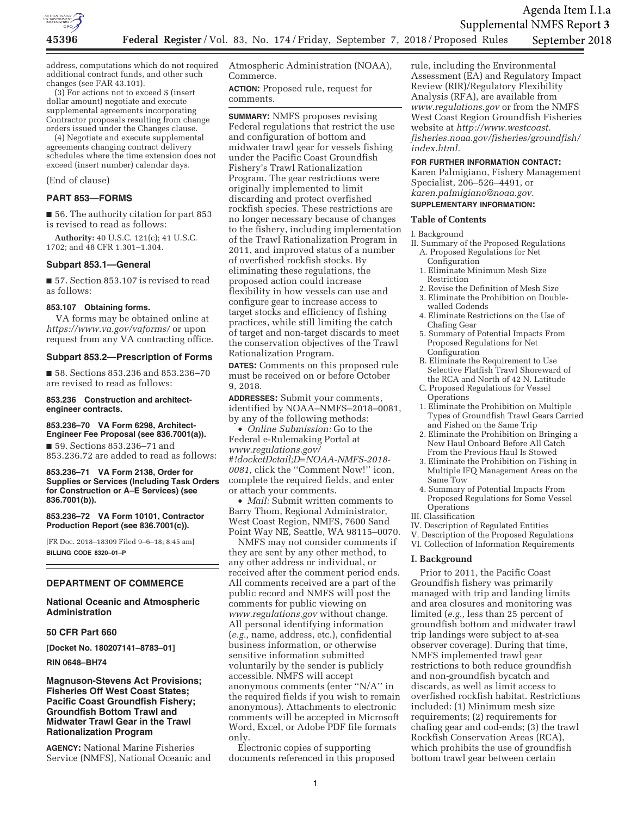

address, computations which do not required additional contract funds, and other such changes (see FAR 43.101).

(3) For actions not to exceed \$ (insert dollar amount) negotiate and execute supplemental agreements incorporating Contractor proposals resulting from change orders issued under the Changes clause.

(4) Negotiate and execute supplemental agreements changing contract delivery schedules where the time extension does not exceed (insert number) calendar days.

(End of clause)

# **PART 853—FORMS**

■ 56. The authority citation for part 853 is revised to read as follows:

**Authority:** 40 U.S.C. 121(c); 41 U.S.C. 1702; and 48 CFR 1.301–1.304.

# **Subpart 853.1—General**

■ 57. Section 853.107 is revised to read as follows:

#### **853.107 Obtaining forms.**

VA forms may be obtained online at *https://www.va.gov/vaforms/* or upon request from any VA contracting office.

# **Subpart 853.2—Prescription of Forms**

■ 58. Sections 853.236 and 853.236-70 are revised to read as follows:

**853.236 Construction and architectengineer contracts.** 

#### **853.236–70 VA Form 6298, Architect-Engineer Fee Proposal (see 836.7001(a)).**

■ 59. Sections 853.236-71 and 853.236.72 are added to read as follows:

**853.236–71 VA Form 2138, Order for Supplies or Services (Including Task Orders for Construction or A–E Services) (see 836.7001(b)).** 

#### **853.236–72 VA Form 10101, Contractor Production Report (see 836.7001(c)).**

[FR Doc. 2018–18309 Filed 9–6–18; 8:45 am] **BILLING CODE 8320–01–P** 

# **DEPARTMENT OF COMMERCE**

# **National Oceanic and Atmospheric Administration**

#### **50 CFR Part 660**

**[Docket No. 180207141–8783–01]** 

#### **RIN 0648–BH74**

# **Magnuson-Stevens Act Provisions; Fisheries Off West Coast States; Pacific Coast Groundfish Fishery; Groundfish Bottom Trawl and Midwater Trawl Gear in the Trawl Rationalization Program**

**AGENCY:** National Marine Fisheries Service (NMFS), National Oceanic and Atmospheric Administration (NOAA), Commerce.

**ACTION:** Proposed rule, request for comments.

**SUMMARY:** NMFS proposes revising Federal regulations that restrict the use and configuration of bottom and midwater trawl gear for vessels fishing under the Pacific Coast Groundfish Fishery's Trawl Rationalization Program. The gear restrictions were originally implemented to limit discarding and protect overfished rockfish species. These restrictions are no longer necessary because of changes to the fishery, including implementation of the Trawl Rationalization Program in 2011, and improved status of a number of overfished rockfish stocks. By eliminating these regulations, the proposed action could increase flexibility in how vessels can use and configure gear to increase access to target stocks and efficiency of fishing practices, while still limiting the catch of target and non-target discards to meet the conservation objectives of the Trawl Rationalization Program.

**DATES:** Comments on this proposed rule must be received on or before October 9, 2018.

**ADDRESSES:** Submit your comments, identified by NOAA–NMFS–2018–0081, by any of the following methods:

• *Online Submission:* Go to the Federal e-Rulemaking Portal at *www.regulations.gov/ #!docketDetail;D=NOAA-NMFS-2018- 0081,* click the ''Comment Now!'' icon, complete the required fields, and enter or attach your comments.

• *Mail:* Submit written comments to Barry Thom, Regional Administrator, West Coast Region, NMFS, 7600 Sand Point Way NE, Seattle, WA 98115–0070.

NMFS may not consider comments if they are sent by any other method, to any other address or individual, or received after the comment period ends. All comments received are a part of the public record and NMFS will post the comments for public viewing on *www.regulations.gov* without change. All personal identifying information (*e.g.,* name, address, etc.), confidential business information, or otherwise sensitive information submitted voluntarily by the sender is publicly accessible. NMFS will accept anonymous comments (enter ''N/A'' in the required fields if you wish to remain anonymous). Attachments to electronic comments will be accepted in Microsoft Word, Excel, or Adobe PDF file formats only.

Electronic copies of supporting documents referenced in this proposed

rule, including the Environmental Assessment (EA) and Regulatory Impact Review (RIR)/Regulatory Flexibility Analysis (RFA), are available from *www.regulations.gov* or from the NMFS West Coast Region Groundfish Fisheries website at *http://www.westcoast. fisheries.noaa.gov/fisheries/groundfish/ index.html.* 

#### **FOR FURTHER INFORMATION CONTACT:**

Karen Palmigiano, Fishery Management Specialist, 206–526–4491, or *karen.palmigiano@noaa.gov.* 

# **SUPPLEMENTARY INFORMATION:**

# **Table of Contents**

I. Background

- II. Summary of the Proposed Regulations A. Proposed Regulations for Net
	- Configuration 1. Eliminate Minimum Mesh Size Restriction
	- 2. Revise the Definition of Mesh Size
	- 3. Eliminate the Prohibition on Doublewalled Codends
	- 4. Eliminate Restrictions on the Use of Chafing Gear
	- 5. Summary of Potential Impacts From Proposed Regulations for Net Configuration
	- B. Eliminate the Requirement to Use Selective Flatfish Trawl Shoreward of the RCA and North of 42 N. Latitude
	- C. Proposed Regulations for Vessel **Operations**
	- 1. Eliminate the Prohibition on Multiple Types of Groundfish Trawl Gears Carried and Fished on the Same Trip
	- 2. Eliminate the Prohibition on Bringing a New Haul Onboard Before All Catch From the Previous Haul Is Stowed
	- 3. Eliminate the Prohibition on Fishing in Multiple IFQ Management Areas on the Same Tow
	- 4. Summary of Potential Impacts From Proposed Regulations for Some Vessel **Operations**
- III. Classification
- IV. Description of Regulated Entities
- V. Description of the Proposed Regulations
- VI. Collection of Information Requirements

#### **I. Background**

Prior to 2011, the Pacific Coast Groundfish fishery was primarily managed with trip and landing limits and area closures and monitoring was limited (*e.g.,* less than 25 percent of groundfish bottom and midwater trawl trip landings were subject to at-sea observer coverage). During that time, NMFS implemented trawl gear restrictions to both reduce groundfish and non-groundfish bycatch and discards, as well as limit access to overfished rockfish habitat. Restrictions included: (1) Minimum mesh size requirements; (2) requirements for chafing gear and cod-ends; (3) the trawl Rockfish Conservation Areas (RCA), which prohibits the use of groundfish bottom trawl gear between certain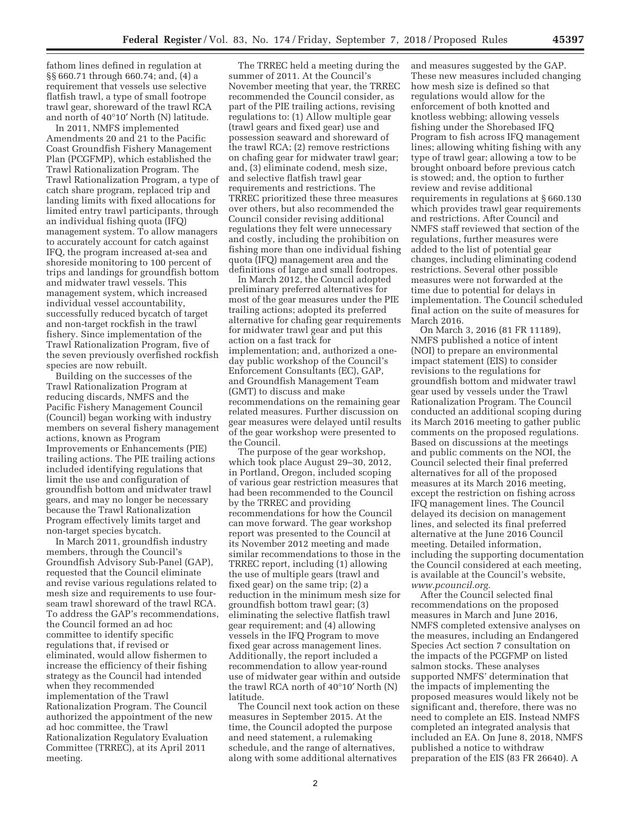fathom lines defined in regulation at §§ 660.71 through 660.74; and, (4) a requirement that vessels use selective flatfish trawl, a type of small footrope trawl gear, shoreward of the trawl RCA and north of 40°10′ North (N) latitude.

In 2011, NMFS implemented Amendments 20 and 21 to the Pacific Coast Groundfish Fishery Management Plan (PCGFMP), which established the Trawl Rationalization Program. The Trawl Rationalization Program, a type of catch share program, replaced trip and landing limits with fixed allocations for limited entry trawl participants, through an individual fishing quota (IFQ) management system. To allow managers to accurately account for catch against IFQ, the program increased at-sea and shoreside monitoring to 100 percent of trips and landings for groundfish bottom and midwater trawl vessels. This management system, which increased individual vessel accountability, successfully reduced bycatch of target and non-target rockfish in the trawl fishery. Since implementation of the Trawl Rationalization Program, five of the seven previously overfished rockfish species are now rebuilt.

Building on the successes of the Trawl Rationalization Program at reducing discards, NMFS and the Pacific Fishery Management Council (Council) began working with industry members on several fishery management actions, known as Program Improvements or Enhancements (PIE) trailing actions. The PIE trailing actions included identifying regulations that limit the use and configuration of groundfish bottom and midwater trawl gears, and may no longer be necessary because the Trawl Rationalization Program effectively limits target and non-target species bycatch.

In March 2011, groundfish industry members, through the Council's Groundfish Advisory Sub-Panel (GAP), requested that the Council eliminate and revise various regulations related to mesh size and requirements to use fourseam trawl shoreward of the trawl RCA. To address the GAP's recommendations, the Council formed an ad hoc committee to identify specific regulations that, if revised or eliminated, would allow fishermen to increase the efficiency of their fishing strategy as the Council had intended when they recommended implementation of the Trawl Rationalization Program. The Council authorized the appointment of the new ad hoc committee, the Trawl Rationalization Regulatory Evaluation Committee (TRREC), at its April 2011 meeting.

The TRREC held a meeting during the summer of 2011. At the Council's November meeting that year, the TRREC recommended the Council consider, as part of the PIE trailing actions, revising regulations to: (1) Allow multiple gear (trawl gears and fixed gear) use and possession seaward and shoreward of the trawl RCA; (2) remove restrictions on chafing gear for midwater trawl gear; and, (3) eliminate codend, mesh size, and selective flatfish trawl gear requirements and restrictions. The TRREC prioritized these three measures over others, but also recommended the Council consider revising additional regulations they felt were unnecessary and costly, including the prohibition on fishing more than one individual fishing quota (IFQ) management area and the definitions of large and small footropes.

In March 2012, the Council adopted preliminary preferred alternatives for most of the gear measures under the PIE trailing actions; adopted its preferred alternative for chafing gear requirements for midwater trawl gear and put this action on a fast track for implementation; and, authorized a oneday public workshop of the Council's Enforcement Consultants (EC), GAP, and Groundfish Management Team (GMT) to discuss and make recommendations on the remaining gear related measures. Further discussion on gear measures were delayed until results of the gear workshop were presented to the Council.

The purpose of the gear workshop, which took place August 29–30, 2012, in Portland, Oregon, included scoping of various gear restriction measures that had been recommended to the Council by the TRREC and providing recommendations for how the Council can move forward. The gear workshop report was presented to the Council at its November 2012 meeting and made similar recommendations to those in the TRREC report, including (1) allowing the use of multiple gears (trawl and fixed gear) on the same trip; (2) a reduction in the minimum mesh size for groundfish bottom trawl gear; (3) eliminating the selective flatfish trawl gear requirement; and (4) allowing vessels in the IFQ Program to move fixed gear across management lines. Additionally, the report included a recommendation to allow year-round use of midwater gear within and outside the trawl RCA north of 40°10′ North (N) latitude.

The Council next took action on these measures in September 2015. At the time, the Council adopted the purpose and need statement, a rulemaking schedule, and the range of alternatives, along with some additional alternatives

and measures suggested by the GAP. These new measures included changing how mesh size is defined so that regulations would allow for the enforcement of both knotted and knotless webbing; allowing vessels fishing under the Shorebased IFQ Program to fish across IFQ management lines; allowing whiting fishing with any type of trawl gear; allowing a tow to be brought onboard before previous catch is stowed; and, the option to further review and revise additional requirements in regulations at § 660.130 which provides trawl gear requirements and restrictions. After Council and NMFS staff reviewed that section of the regulations, further measures were added to the list of potential gear changes, including eliminating codend restrictions. Several other possible measures were not forwarded at the time due to potential for delays in implementation. The Council scheduled final action on the suite of measures for March 2016.

On March 3, 2016 (81 FR 11189), NMFS published a notice of intent (NOI) to prepare an environmental impact statement (EIS) to consider revisions to the regulations for groundfish bottom and midwater trawl gear used by vessels under the Trawl Rationalization Program. The Council conducted an additional scoping during its March 2016 meeting to gather public comments on the proposed regulations. Based on discussions at the meetings and public comments on the NOI, the Council selected their final preferred alternatives for all of the proposed measures at its March 2016 meeting, except the restriction on fishing across IFQ management lines. The Council delayed its decision on management lines, and selected its final preferred alternative at the June 2016 Council meeting. Detailed information, including the supporting documentation the Council considered at each meeting, is available at the Council's website, *www.pcouncil.org.* 

After the Council selected final recommendations on the proposed measures in March and June 2016, NMFS completed extensive analyses on the measures, including an Endangered Species Act section 7 consultation on the impacts of the PCGFMP on listed salmon stocks. These analyses supported NMFS' determination that the impacts of implementing the proposed measures would likely not be significant and, therefore, there was no need to complete an EIS. Instead NMFS completed an integrated analysis that included an EA. On June 8, 2018, NMFS published a notice to withdraw preparation of the EIS (83 FR 26640). A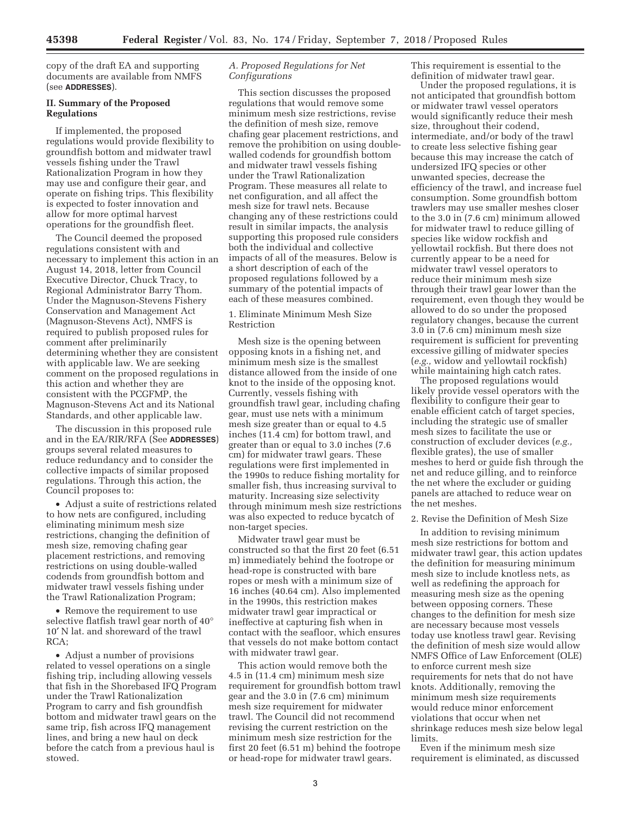copy of the draft EA and supporting documents are available from NMFS (see **ADDRESSES**).

# **II. Summary of the Proposed Regulations**

If implemented, the proposed regulations would provide flexibility to groundfish bottom and midwater trawl vessels fishing under the Trawl Rationalization Program in how they may use and configure their gear, and operate on fishing trips. This flexibility is expected to foster innovation and allow for more optimal harvest operations for the groundfish fleet.

The Council deemed the proposed regulations consistent with and necessary to implement this action in an August 14, 2018, letter from Council Executive Director, Chuck Tracy, to Regional Administrator Barry Thom. Under the Magnuson-Stevens Fishery Conservation and Management Act (Magnuson-Stevens Act), NMFS is required to publish proposed rules for comment after preliminarily determining whether they are consistent with applicable law. We are seeking comment on the proposed regulations in this action and whether they are consistent with the PCGFMP, the Magnuson-Stevens Act and its National Standards, and other applicable law.

The discussion in this proposed rule and in the EA/RIR/RFA (See **ADDRESSES**) groups several related measures to reduce redundancy and to consider the collective impacts of similar proposed regulations. Through this action, the Council proposes to:

• Adjust a suite of restrictions related to how nets are configured, including eliminating minimum mesh size restrictions, changing the definition of mesh size, removing chafing gear placement restrictions, and removing restrictions on using double-walled codends from groundfish bottom and midwater trawl vessels fishing under the Trawl Rationalization Program;

• Remove the requirement to use selective flatfish trawl gear north of 40° 10′ N lat. and shoreward of the trawl RCA;

• Adjust a number of provisions related to vessel operations on a single fishing trip, including allowing vessels that fish in the Shorebased IFQ Program under the Trawl Rationalization Program to carry and fish groundfish bottom and midwater trawl gears on the same trip, fish across IFQ management lines, and bring a new haul on deck before the catch from a previous haul is stowed.

# *A. Proposed Regulations for Net Configurations*

This section discusses the proposed regulations that would remove some minimum mesh size restrictions, revise the definition of mesh size, remove chafing gear placement restrictions, and remove the prohibition on using doublewalled codends for groundfish bottom and midwater trawl vessels fishing under the Trawl Rationalization Program. These measures all relate to net configuration, and all affect the mesh size for trawl nets. Because changing any of these restrictions could result in similar impacts, the analysis supporting this proposed rule considers both the individual and collective impacts of all of the measures. Below is a short description of each of the proposed regulations followed by a summary of the potential impacts of each of these measures combined.

#### 1. Eliminate Minimum Mesh Size Restriction

Mesh size is the opening between opposing knots in a fishing net, and minimum mesh size is the smallest distance allowed from the inside of one knot to the inside of the opposing knot. Currently, vessels fishing with groundfish trawl gear, including chafing gear, must use nets with a minimum mesh size greater than or equal to 4.5 inches (11.4 cm) for bottom trawl, and greater than or equal to 3.0 inches (7.6 cm) for midwater trawl gears. These regulations were first implemented in the 1990s to reduce fishing mortality for smaller fish, thus increasing survival to maturity. Increasing size selectivity through minimum mesh size restrictions was also expected to reduce bycatch of non-target species.

Midwater trawl gear must be constructed so that the first 20 feet (6.51 m) immediately behind the footrope or head-rope is constructed with bare ropes or mesh with a minimum size of 16 inches (40.64 cm). Also implemented in the 1990s, this restriction makes midwater trawl gear impractical or ineffective at capturing fish when in contact with the seafloor, which ensures that vessels do not make bottom contact with midwater trawl gear.

This action would remove both the 4.5 in (11.4 cm) minimum mesh size requirement for groundfish bottom trawl gear and the 3.0 in (7.6 cm) minimum mesh size requirement for midwater trawl. The Council did not recommend revising the current restriction on the minimum mesh size restriction for the first 20 feet (6.51 m) behind the footrope or head-rope for midwater trawl gears.

This requirement is essential to the definition of midwater trawl gear.

Under the proposed regulations, it is not anticipated that groundfish bottom or midwater trawl vessel operators would significantly reduce their mesh size, throughout their codend, intermediate, and/or body of the trawl to create less selective fishing gear because this may increase the catch of undersized IFQ species or other unwanted species, decrease the efficiency of the trawl, and increase fuel consumption. Some groundfish bottom trawlers may use smaller meshes closer to the 3.0 in (7.6 cm) minimum allowed for midwater trawl to reduce gilling of species like widow rockfish and yellowtail rockfish. But there does not currently appear to be a need for midwater trawl vessel operators to reduce their minimum mesh size through their trawl gear lower than the requirement, even though they would be allowed to do so under the proposed regulatory changes, because the current 3.0 in (7.6 cm) minimum mesh size requirement is sufficient for preventing excessive gilling of midwater species (*e.g.,* widow and yellowtail rockfish) while maintaining high catch rates.

The proposed regulations would likely provide vessel operators with the flexibility to configure their gear to enable efficient catch of target species, including the strategic use of smaller mesh sizes to facilitate the use or construction of excluder devices (*e.g.,*  flexible grates), the use of smaller meshes to herd or guide fish through the net and reduce gilling, and to reinforce the net where the excluder or guiding panels are attached to reduce wear on the net meshes.

#### 2. Revise the Definition of Mesh Size

In addition to revising minimum mesh size restrictions for bottom and midwater trawl gear, this action updates the definition for measuring minimum mesh size to include knotless nets, as well as redefining the approach for measuring mesh size as the opening between opposing corners. These changes to the definition for mesh size are necessary because most vessels today use knotless trawl gear. Revising the definition of mesh size would allow NMFS Office of Law Enforcement (OLE) to enforce current mesh size requirements for nets that do not have knots. Additionally, removing the minimum mesh size requirements would reduce minor enforcement violations that occur when net shrinkage reduces mesh size below legal limits.

Even if the minimum mesh size requirement is eliminated, as discussed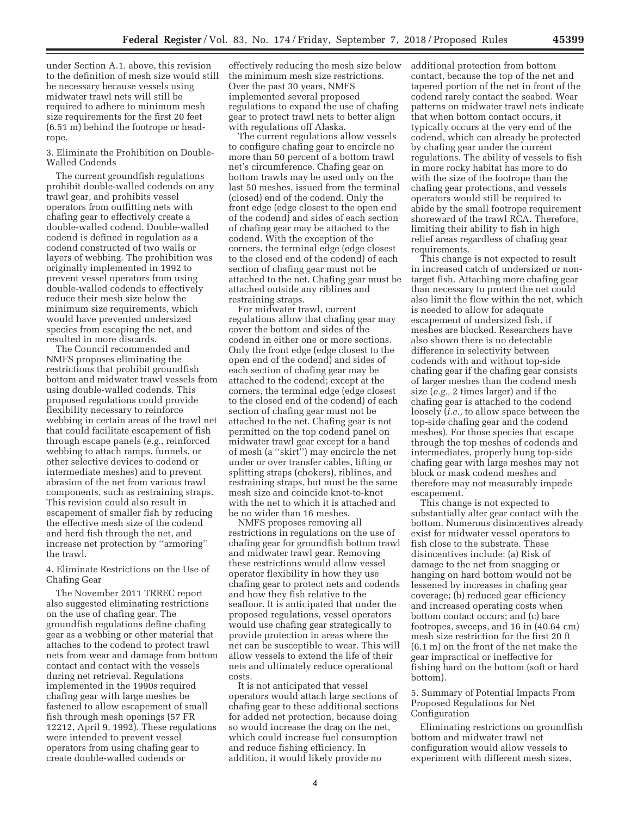under Section A.1. above, this revision to the definition of mesh size would still be necessary because vessels using midwater trawl nets will still be required to adhere to minimum mesh size requirements for the first 20 feet (6.51 m) behind the footrope or headrope.

3. Eliminate the Prohibition on Double-Walled Codends

The current groundfish regulations prohibit double-walled codends on any trawl gear, and prohibits vessel operators from outfitting nets with chafing gear to effectively create a double-walled codend. Double-walled codend is defined in regulation as a codend constructed of two walls or layers of webbing. The prohibition was originally implemented in 1992 to prevent vessel operators from using double-walled codends to effectively reduce their mesh size below the minimum size requirements, which would have prevented undersized species from escaping the net, and resulted in more discards.

The Council recommended and NMFS proposes eliminating the restrictions that prohibit groundfish bottom and midwater trawl vessels from using double-walled codends. This proposed regulations could provide flexibility necessary to reinforce webbing in certain areas of the trawl net that could facilitate escapement of fish through escape panels (*e.g.,* reinforced webbing to attach ramps, funnels, or other selective devices to codend or intermediate meshes) and to prevent abrasion of the net from various trawl components, such as restraining straps. This revision could also result in escapement of smaller fish by reducing the effective mesh size of the codend and herd fish through the net, and increase net protection by ''armoring'' the trawl.

4. Eliminate Restrictions on the Use of Chafing Gear

The November 2011 TRREC report also suggested eliminating restrictions on the use of chafing gear. The groundfish regulations define chafing gear as a webbing or other material that attaches to the codend to protect trawl nets from wear and damage from bottom contact and contact with the vessels during net retrieval. Regulations implemented in the 1990s required chafing gear with large meshes be fastened to allow escapement of small fish through mesh openings (57 FR 12212, April 9, 1992). These regulations were intended to prevent vessel operators from using chafing gear to create double-walled codends or

effectively reducing the mesh size below the minimum mesh size restrictions. Over the past 30 years, NMFS implemented several proposed regulations to expand the use of chafing gear to protect trawl nets to better align with regulations off Alaska.

The current regulations allow vessels to configure chafing gear to encircle no more than 50 percent of a bottom trawl net's circumference. Chafing gear on bottom trawls may be used only on the last 50 meshes, issued from the terminal (closed) end of the codend. Only the front edge (edge closest to the open end of the codend) and sides of each section of chafing gear may be attached to the codend. With the exception of the corners, the terminal edge (edge closest to the closed end of the codend) of each section of chafing gear must not be attached to the net. Chafing gear must be attached outside any riblines and restraining straps.

For midwater trawl, current regulations allow that chafing gear may cover the bottom and sides of the codend in either one or more sections. Only the front edge (edge closest to the open end of the codend) and sides of each section of chafing gear may be attached to the codend; except at the corners, the terminal edge (edge closest to the closed end of the codend) of each section of chafing gear must not be attached to the net. Chafing gear is not permitted on the top codend panel on midwater trawl gear except for a band of mesh (a ''skirt'') may encircle the net under or over transfer cables, lifting or splitting straps (chokers), riblines, and restraining straps, but must be the same mesh size and coincide knot-to-knot with the net to which it is attached and be no wider than 16 meshes.

NMFS proposes removing all restrictions in regulations on the use of chafing gear for groundfish bottom trawl and midwater trawl gear. Removing these restrictions would allow vessel operator flexibility in how they use chafing gear to protect nets and codends and how they fish relative to the seafloor. It is anticipated that under the proposed regulations, vessel operators would use chafing gear strategically to provide protection in areas where the net can be susceptible to wear. This will allow vessels to extend the life of their nets and ultimately reduce operational costs.

It is not anticipated that vessel operators would attach large sections of chafing gear to these additional sections for added net protection, because doing so would increase the drag on the net, which could increase fuel consumption and reduce fishing efficiency. In addition, it would likely provide no

additional protection from bottom contact, because the top of the net and tapered portion of the net in front of the codend rarely contact the seabed. Wear patterns on midwater trawl nets indicate that when bottom contact occurs, it typically occurs at the very end of the codend, which can already be protected by chafing gear under the current regulations. The ability of vessels to fish in more rocky habitat has more to do with the size of the footrope than the chafing gear protections, and vessels operators would still be required to abide by the small footrope requirement shoreward of the trawl RCA. Therefore, limiting their ability to fish in high relief areas regardless of chafing gear requirements.

This change is not expected to result in increased catch of undersized or nontarget fish. Attaching more chafing gear than necessary to protect the net could also limit the flow within the net, which is needed to allow for adequate escapement of undersized fish, if meshes are blocked. Researchers have also shown there is no detectable difference in selectivity between codends with and without top-side chafing gear if the chafing gear consists of larger meshes than the codend mesh size (*e.g.,* 2 times larger) and if the chafing gear is attached to the codend loosely (*i.e.,* to allow space between the top-side chafing gear and the codend meshes). For those species that escape through the top meshes of codends and intermediates, properly hung top-side chafing gear with large meshes may not block or mask codend meshes and therefore may not measurably impede escapement.

This change is not expected to substantially alter gear contact with the bottom. Numerous disincentives already exist for midwater vessel operators to fish close to the substrate. These disincentives include: (a) Risk of damage to the net from snagging or hanging on hard bottom would not be lessened by increases in chafing gear coverage; (b) reduced gear efficiency and increased operating costs when bottom contact occurs; and (c) bare footropes, sweeps, and 16 in (40.64 cm) mesh size restriction for the first 20 ft (6.1 m) on the front of the net make the gear impractical or ineffective for fishing hard on the bottom (soft or hard bottom).

# 5. Summary of Potential Impacts From Proposed Regulations for Net Configuration

Eliminating restrictions on groundfish bottom and midwater trawl net configuration would allow vessels to experiment with different mesh sizes,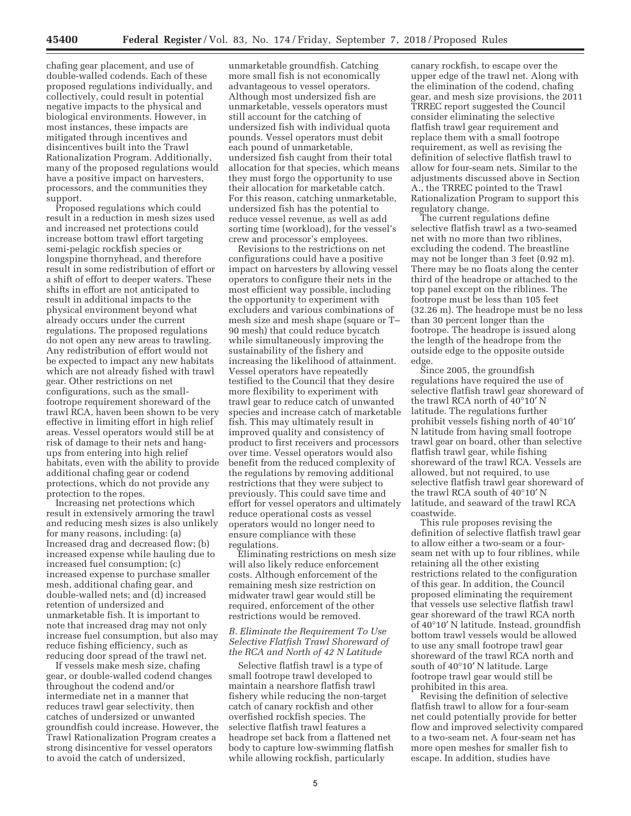chafing gear placement, and use of double-walled codends. Each of these proposed regulations individually, and collectively, could result in potential negative impacts to the physical and biological environments. However, in most instances, these impacts are mitigated through incentives and disincentives built into the Trawl Rationalization Program. Additionally, many of the proposed regulations would have a positive impact on harvesters, processors, and the communities they support.

Proposed regulations which could result in a reduction in mesh sizes used and increased net protections could increase bottom trawl effort targeting semi-pelagic rockfish species or longspine thornyhead, and therefore result in some redistribution of effort or a shift of effort to deeper waters. These shifts in effort are not anticipated to result in additional impacts to the physical environment beyond what already occurs under the current regulations. The proposed regulations do not open any new areas to trawling. Any redistribution of effort would not be expected to impact any new habitats which are not already fished with trawl gear. Other restrictions on net configurations, such as the smallfootrope requirement shoreward of the trawl RCA, haven been shown to be very effective in limiting effort in high relief areas. Vessel operators would still be at risk of damage to their nets and hangups from entering into high relief habitats, even with the ability to provide additional chafing gear or codend protections, which do not provide any protection to the ropes.

Increasing net protections which result in extensively armoring the trawl and reducing mesh sizes is also unlikely for many reasons, including: (a) Increased drag and decreased flow; (b) increased expense while hauling due to increased fuel consumption; (c) increased expense to purchase smaller mesh, additional chafing gear, and double-walled nets; and (d) increased retention of undersized and unmarketable fish. It is important to note that increased drag may not only increase fuel consumption, but also may reduce fishing efficiency, such as reducing door spread of the trawl net.

If vessels make mesh size, chafing gear, or double-walled codend changes throughout the codend and/or intermediate net in a manner that reduces trawl gear selectivity, then catches of undersized or unwanted groundfish could increase. However, the Trawl Rationalization Program creates a strong disincentive for vessel operators to avoid the catch of undersized,

unmarketable groundfish. Catching more small fish is not economically advantageous to vessel operators. Although most undersized fish are unmarketable, vessels operators must still account for the catching of undersized fish with individual quota pounds. Vessel operators must debit each pound of unmarketable, undersized fish caught from their total allocation for that species, which means they must forgo the opportunity to use their allocation for marketable catch. For this reason, catching unmarketable, undersized fish has the potential to reduce vessel revenue, as well as add sorting time (workload), for the vessel's crew and processor's employees.

Revisions to the restrictions on net configurations could have a positive impact on harvesters by allowing vessel operators to configure their nets in the most efficient way possible, including the opportunity to experiment with excluders and various combinations of mesh size and mesh shape (square or T– 90 mesh) that could reduce bycatch while simultaneously improving the sustainability of the fishery and increasing the likelihood of attainment. Vessel operators have repeatedly testified to the Council that they desire more flexibility to experiment with trawl gear to reduce catch of unwanted species and increase catch of marketable fish. This may ultimately result in improved quality and consistency of product to first receivers and processors over time. Vessel operators would also benefit from the reduced complexity of the regulations by removing additional restrictions that they were subject to previously. This could save time and effort for vessel operators and ultimately reduce operational costs as vessel operators would no longer need to ensure compliance with these regulations.

Eliminating restrictions on mesh size will also likely reduce enforcement costs. Although enforcement of the remaining mesh size restriction on midwater trawl gear would still be required, enforcement of the other restrictions would be removed.

# *B. Eliminate the Requirement To Use Selective Flatfish Trawl Shoreward of the RCA and North of 42 N Latitude*

Selective flatfish trawl is a type of small footrope trawl developed to maintain a nearshore flatfish trawl fishery while reducing the non-target catch of canary rockfish and other overfished rockfish species. The selective flatfish trawl features a headrope set back from a flattened net body to capture low-swimming flatfish while allowing rockfish, particularly

canary rockfish, to escape over the upper edge of the trawl net. Along with the elimination of the codend, chafing gear, and mesh size provisions, the 2011 TRREC report suggested the Council consider eliminating the selective flatfish trawl gear requirement and replace them with a small footrope requirement, as well as revising the definition of selective flatfish trawl to allow for four-seam nets. Similar to the adjustments discussed above in Section A., the TRREC pointed to the Trawl Rationalization Program to support this regulatory change.

The current regulations define selective flatfish trawl as a two-seamed net with no more than two riblines, excluding the codend. The breastline may not be longer than 3 feet (0.92 m). There may be no floats along the center third of the headrope or attached to the top panel except on the riblines. The footrope must be less than 105 feet (32.26 m). The headrope must be no less than 30 percent longer than the footrope. The headrope is issued along the length of the headrope from the outside edge to the opposite outside edge.

Since 2005, the groundfish regulations have required the use of selective flatfish trawl gear shoreward of the trawl RCA north of 40°10′ N latitude. The regulations further prohibit vessels fishing north of 40°10′ N latitude from having small footrope trawl gear on board, other than selective flatfish trawl gear, while fishing shoreward of the trawl RCA. Vessels are allowed, but not required, to use selective flatfish trawl gear shoreward of the trawl RCA south of 40°10′ N latitude, and seaward of the trawl RCA coastwide.

This rule proposes revising the definition of selective flatfish trawl gear to allow either a two-seam or a fourseam net with up to four riblines, while retaining all the other existing restrictions related to the configuration of this gear. In addition, the Council proposed eliminating the requirement that vessels use selective flatfish trawl gear shoreward of the trawl RCA north of 40°10′ N latitude. Instead, groundfish bottom trawl vessels would be allowed to use any small footrope trawl gear shoreward of the trawl RCA north and south of 40°10′ N latitude. Large footrope trawl gear would still be prohibited in this area.

Revising the definition of selective flatfish trawl to allow for a four-seam net could potentially provide for better flow and improved selectivity compared to a two-seam net. A four-seam net has more open meshes for smaller fish to escape. In addition, studies have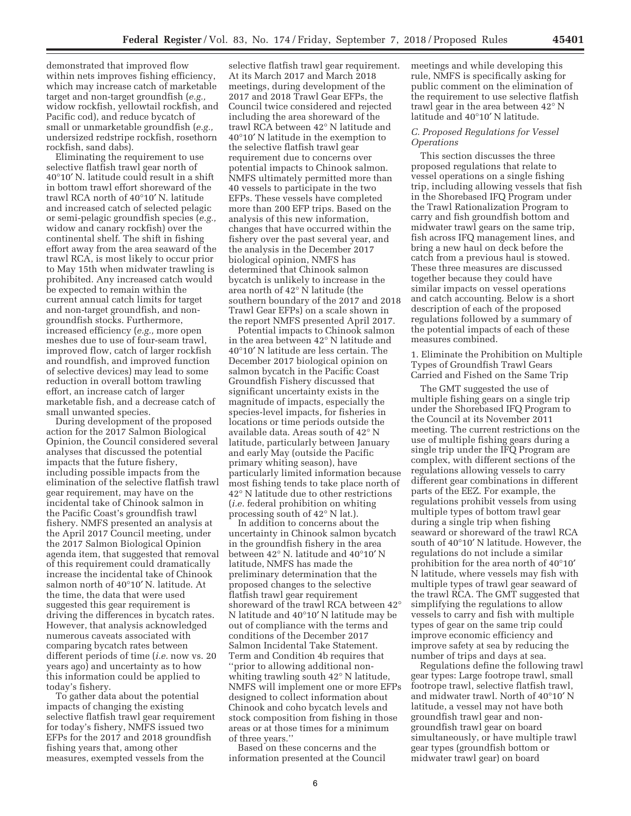demonstrated that improved flow within nets improves fishing efficiency, which may increase catch of marketable target and non-target groundfish (*e.g.,*  widow rockfish, yellowtail rockfish, and Pacific cod), and reduce bycatch of small or unmarketable groundfish (*e.g.,*  undersized redstripe rockfish, rosethorn rockfish, sand dabs).

Eliminating the requirement to use selective flatfish trawl gear north of 40°10′ N. latitude could result in a shift in bottom trawl effort shoreward of the trawl RCA north of 40°10′ N. latitude and increased catch of selected pelagic or semi-pelagic groundfish species (*e.g.,*  widow and canary rockfish) over the continental shelf. The shift in fishing effort away from the area seaward of the trawl RCA, is most likely to occur prior to May 15th when midwater trawling is prohibited. Any increased catch would be expected to remain within the current annual catch limits for target and non-target groundfish, and nongroundfish stocks. Furthermore, increased efficiency (*e.g.,* more open meshes due to use of four-seam trawl, improved flow, catch of larger rockfish and roundfish, and improved function of selective devices) may lead to some reduction in overall bottom trawling effort, an increase catch of larger marketable fish, and a decrease catch of small unwanted species.

During development of the proposed action for the 2017 Salmon Biological Opinion, the Council considered several analyses that discussed the potential impacts that the future fishery, including possible impacts from the elimination of the selective flatfish trawl gear requirement, may have on the incidental take of Chinook salmon in the Pacific Coast's groundfish trawl fishery. NMFS presented an analysis at the April 2017 Council meeting, under the 2017 Salmon Biological Opinion agenda item, that suggested that removal of this requirement could dramatically increase the incidental take of Chinook salmon north of 40°10′ N. latitude. At the time, the data that were used suggested this gear requirement is driving the differences in bycatch rates. However, that analysis acknowledged numerous caveats associated with comparing bycatch rates between different periods of time (*i.e.* now vs. 20 years ago) and uncertainty as to how this information could be applied to today's fishery.

To gather data about the potential impacts of changing the existing selective flatfish trawl gear requirement for today's fishery, NMFS issued two EFPs for the 2017 and 2018 groundfish fishing years that, among other measures, exempted vessels from the

selective flatfish trawl gear requirement. At its March 2017 and March 2018 meetings, during development of the 2017 and 2018 Trawl Gear EFPs, the Council twice considered and rejected including the area shoreward of the trawl RCA between 42° N latitude and 40°10′ N latitude in the exemption to the selective flatfish trawl gear requirement due to concerns over potential impacts to Chinook salmon. NMFS ultimately permitted more than 40 vessels to participate in the two EFPs. These vessels have completed more than 200 EFP trips. Based on the analysis of this new information, changes that have occurred within the fishery over the past several year, and the analysis in the December 2017 biological opinion, NMFS has determined that Chinook salmon bycatch is unlikely to increase in the area north of 42° N latitude (the southern boundary of the 2017 and 2018 Trawl Gear EFPs) on a scale shown in the report NMFS presented April 2017.

Potential impacts to Chinook salmon in the area between 42° N latitude and 40°10′ N latitude are less certain. The December 2017 biological opinion on salmon bycatch in the Pacific Coast Groundfish Fishery discussed that significant uncertainty exists in the magnitude of impacts, especially the species-level impacts, for fisheries in locations or time periods outside the available data. Areas south of 42° N latitude, particularly between January and early May (outside the Pacific primary whiting season), have particularly limited information because most fishing tends to take place north of 42° N latitude due to other restrictions (*i.e.* federal prohibition on whiting processing south of 42° N lat.).

In addition to concerns about the uncertainty in Chinook salmon bycatch in the groundfish fishery in the area between 42° N. latitude and 40°10′ N latitude, NMFS has made the preliminary determination that the proposed changes to the selective flatfish trawl gear requirement shoreward of the trawl RCA between 42° N latitude and 40°10′ N latitude may be out of compliance with the terms and conditions of the December 2017 Salmon Incidental Take Statement. Term and Condition 4b requires that ''prior to allowing additional nonwhiting trawling south 42° N latitude, NMFS will implement one or more EFPs designed to collect information about Chinook and coho bycatch levels and stock composition from fishing in those areas or at those times for a minimum of three years.''

Based on these concerns and the information presented at the Council meetings and while developing this rule, NMFS is specifically asking for public comment on the elimination of the requirement to use selective flatfish trawl gear in the area between 42° N latitude and 40°10′ N latitude.

#### *C. Proposed Regulations for Vessel Operations*

This section discusses the three proposed regulations that relate to vessel operations on a single fishing trip, including allowing vessels that fish in the Shorebased IFQ Program under the Trawl Rationalization Program to carry and fish groundfish bottom and midwater trawl gears on the same trip, fish across IFQ management lines, and bring a new haul on deck before the catch from a previous haul is stowed. These three measures are discussed together because they could have similar impacts on vessel operations and catch accounting. Below is a short description of each of the proposed regulations followed by a summary of the potential impacts of each of these measures combined.

1. Eliminate the Prohibition on Multiple Types of Groundfish Trawl Gears Carried and Fished on the Same Trip

The GMT suggested the use of multiple fishing gears on a single trip under the Shorebased IFQ Program to the Council at its November 2011 meeting. The current restrictions on the use of multiple fishing gears during a single trip under the IFQ Program are complex, with different sections of the regulations allowing vessels to carry different gear combinations in different parts of the EEZ. For example, the regulations prohibit vessels from using multiple types of bottom trawl gear during a single trip when fishing seaward or shoreward of the trawl RCA south of 40°10′ N latitude. However, the regulations do not include a similar prohibition for the area north of 40°10′ N latitude, where vessels may fish with multiple types of trawl gear seaward of the trawl RCA. The GMT suggested that simplifying the regulations to allow vessels to carry and fish with multiple types of gear on the same trip could improve economic efficiency and improve safety at sea by reducing the number of trips and days at sea.

Regulations define the following trawl gear types: Large footrope trawl, small footrope trawl, selective flatfish trawl, and midwater trawl. North of 40°10′ N latitude, a vessel may not have both groundfish trawl gear and nongroundfish trawl gear on board simultaneously, or have multiple trawl gear types (groundfish bottom or midwater trawl gear) on board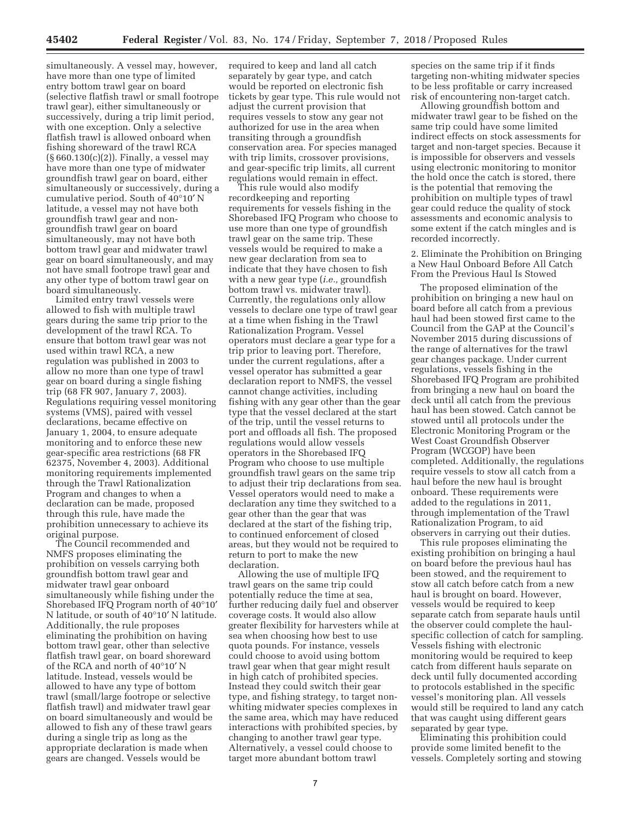simultaneously. A vessel may, however, have more than one type of limited entry bottom trawl gear on board (selective flatfish trawl or small footrope trawl gear), either simultaneously or successively, during a trip limit period, with one exception. Only a selective flatfish trawl is allowed onboard when fishing shoreward of the trawl RCA (§ 660.130(c)(2)). Finally, a vessel may have more than one type of midwater groundfish trawl gear on board, either simultaneously or successively, during a cumulative period. South of 40°10′ N latitude, a vessel may not have both groundfish trawl gear and nongroundfish trawl gear on board simultaneously, may not have both bottom trawl gear and midwater trawl gear on board simultaneously, and may not have small footrope trawl gear and any other type of bottom trawl gear on board simultaneously.

Limited entry trawl vessels were allowed to fish with multiple trawl gears during the same trip prior to the development of the trawl RCA. To ensure that bottom trawl gear was not used within trawl RCA, a new regulation was published in 2003 to allow no more than one type of trawl gear on board during a single fishing trip (68 FR 907, January 7, 2003). Regulations requiring vessel monitoring systems (VMS), paired with vessel declarations, became effective on January 1, 2004, to ensure adequate monitoring and to enforce these new gear-specific area restrictions (68 FR 62375, November 4, 2003). Additional monitoring requirements implemented through the Trawl Rationalization Program and changes to when a declaration can be made, proposed through this rule, have made the prohibition unnecessary to achieve its original purpose.

The Council recommended and NMFS proposes eliminating the prohibition on vessels carrying both groundfish bottom trawl gear and midwater trawl gear onboard simultaneously while fishing under the Shorebased IFQ Program north of 40°10′ N latitude, or south of 40°10′ N latitude. Additionally, the rule proposes eliminating the prohibition on having bottom trawl gear, other than selective flatfish trawl gear, on board shoreward of the RCA and north of 40°10′ N latitude. Instead, vessels would be allowed to have any type of bottom trawl (small/large footrope or selective flatfish trawl) and midwater trawl gear on board simultaneously and would be allowed to fish any of these trawl gears during a single trip as long as the appropriate declaration is made when gears are changed. Vessels would be

required to keep and land all catch separately by gear type, and catch would be reported on electronic fish tickets by gear type. This rule would not adjust the current provision that requires vessels to stow any gear not authorized for use in the area when transiting through a groundfish conservation area. For species managed with trip limits, crossover provisions, and gear-specific trip limits, all current regulations would remain in effect.

This rule would also modify recordkeeping and reporting requirements for vessels fishing in the Shorebased IFQ Program who choose to use more than one type of groundfish trawl gear on the same trip. These vessels would be required to make a new gear declaration from sea to indicate that they have chosen to fish with a new gear type (*i.e.,* groundfish bottom trawl vs. midwater trawl). Currently, the regulations only allow vessels to declare one type of trawl gear at a time when fishing in the Trawl Rationalization Program. Vessel operators must declare a gear type for a trip prior to leaving port. Therefore, under the current regulations, after a vessel operator has submitted a gear declaration report to NMFS, the vessel cannot change activities, including fishing with any gear other than the gear type that the vessel declared at the start of the trip, until the vessel returns to port and offloads all fish. The proposed regulations would allow vessels operators in the Shorebased IFQ Program who choose to use multiple groundfish trawl gears on the same trip to adjust their trip declarations from sea. Vessel operators would need to make a declaration any time they switched to a gear other than the gear that was declared at the start of the fishing trip, to continued enforcement of closed areas, but they would not be required to return to port to make the new declaration.

Allowing the use of multiple IFQ trawl gears on the same trip could potentially reduce the time at sea, further reducing daily fuel and observer coverage costs. It would also allow greater flexibility for harvesters while at sea when choosing how best to use quota pounds. For instance, vessels could choose to avoid using bottom trawl gear when that gear might result in high catch of prohibited species. Instead they could switch their gear type, and fishing strategy, to target nonwhiting midwater species complexes in the same area, which may have reduced interactions with prohibited species, by changing to another trawl gear type. Alternatively, a vessel could choose to target more abundant bottom trawl

species on the same trip if it finds targeting non-whiting midwater species to be less profitable or carry increased risk of encountering non-target catch.

Allowing groundfish bottom and midwater trawl gear to be fished on the same trip could have some limited indirect effects on stock assessments for target and non-target species. Because it is impossible for observers and vessels using electronic monitoring to monitor the hold once the catch is stored, there is the potential that removing the prohibition on multiple types of trawl gear could reduce the quality of stock assessments and economic analysis to some extent if the catch mingles and is recorded incorrectly.

2. Eliminate the Prohibition on Bringing a New Haul Onboard Before All Catch From the Previous Haul Is Stowed

The proposed elimination of the prohibition on bringing a new haul on board before all catch from a previous haul had been stowed first came to the Council from the GAP at the Council's November 2015 during discussions of the range of alternatives for the trawl gear changes package. Under current regulations, vessels fishing in the Shorebased IFQ Program are prohibited from bringing a new haul on board the deck until all catch from the previous haul has been stowed. Catch cannot be stowed until all protocols under the Electronic Monitoring Program or the West Coast Groundfish Observer Program (WCGOP) have been completed. Additionally, the regulations require vessels to stow all catch from a haul before the new haul is brought onboard. These requirements were added to the regulations in 2011, through implementation of the Trawl Rationalization Program, to aid observers in carrying out their duties.

This rule proposes eliminating the existing prohibition on bringing a haul on board before the previous haul has been stowed, and the requirement to stow all catch before catch from a new haul is brought on board. However, vessels would be required to keep separate catch from separate hauls until the observer could complete the haulspecific collection of catch for sampling. Vessels fishing with electronic monitoring would be required to keep catch from different hauls separate on deck until fully documented according to protocols established in the specific vessel's monitoring plan. All vessels would still be required to land any catch that was caught using different gears separated by gear type.

Eliminating this prohibition could provide some limited benefit to the vessels. Completely sorting and stowing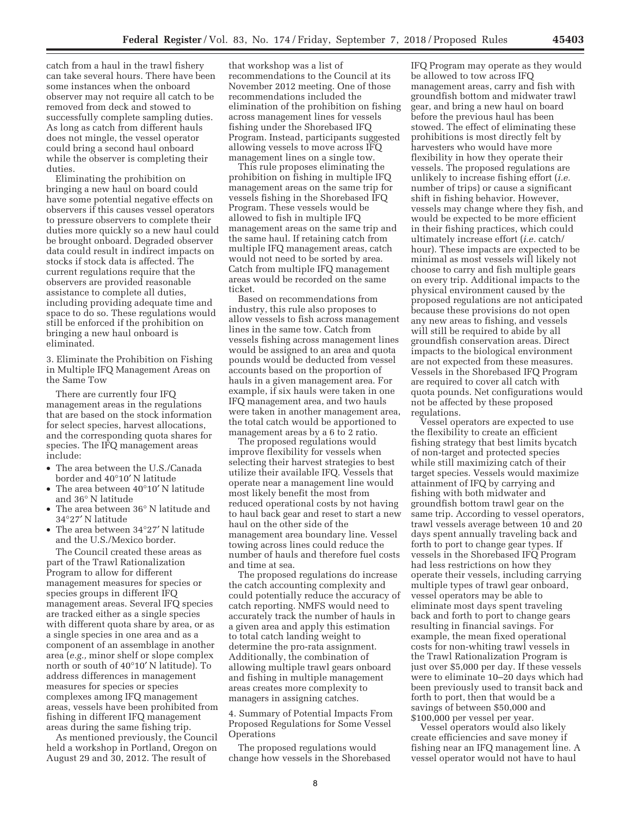catch from a haul in the trawl fishery can take several hours. There have been some instances when the onboard observer may not require all catch to be removed from deck and stowed to successfully complete sampling duties. As long as catch from different hauls does not mingle, the vessel operator could bring a second haul onboard while the observer is completing their duties.

Eliminating the prohibition on bringing a new haul on board could have some potential negative effects on observers if this causes vessel operators to pressure observers to complete their duties more quickly so a new haul could be brought onboard. Degraded observer data could result in indirect impacts on stocks if stock data is affected. The current regulations require that the observers are provided reasonable assistance to complete all duties, including providing adequate time and space to do so. These regulations would still be enforced if the prohibition on bringing a new haul onboard is eliminated.

3. Eliminate the Prohibition on Fishing in Multiple IFQ Management Areas on the Same Tow

There are currently four IFQ management areas in the regulations that are based on the stock information for select species, harvest allocations, and the corresponding quota shares for species. The IFQ management areas include:

- The area between the U.S./Canada border and 40°10′ N latitude
- The area between 40°10′ N latitude and 36° N latitude
- The area between 36° N latitude and 34°27′ N latitude
- The area between 34°27' N latitude and the U.S./Mexico border.

The Council created these areas as part of the Trawl Rationalization Program to allow for different management measures for species or species groups in different IFQ management areas. Several IFQ species are tracked either as a single species with different quota share by area, or as a single species in one area and as a component of an assemblage in another area (*e.g.,* minor shelf or slope complex north or south of 40°10′ N latitude). To address differences in management measures for species or species complexes among IFQ management areas, vessels have been prohibited from fishing in different IFQ management areas during the same fishing trip.

As mentioned previously, the Council held a workshop in Portland, Oregon on August 29 and 30, 2012. The result of

that workshop was a list of recommendations to the Council at its November 2012 meeting. One of those recommendations included the elimination of the prohibition on fishing across management lines for vessels fishing under the Shorebased IFQ Program. Instead, participants suggested allowing vessels to move across IFQ management lines on a single tow.

This rule proposes eliminating the prohibition on fishing in multiple IFQ management areas on the same trip for vessels fishing in the Shorebased IFQ Program. These vessels would be allowed to fish in multiple IFQ management areas on the same trip and the same haul. If retaining catch from multiple IFQ management areas, catch would not need to be sorted by area. Catch from multiple IFQ management areas would be recorded on the same ticket.

Based on recommendations from industry, this rule also proposes to allow vessels to fish across management lines in the same tow. Catch from vessels fishing across management lines would be assigned to an area and quota pounds would be deducted from vessel accounts based on the proportion of hauls in a given management area. For example, if six hauls were taken in one IFQ management area, and two hauls were taken in another management area, the total catch would be apportioned to management areas by a 6 to 2 ratio.

The proposed regulations would improve flexibility for vessels when selecting their harvest strategies to best utilize their available IFQ. Vessels that operate near a management line would most likely benefit the most from reduced operational costs by not having to haul back gear and reset to start a new haul on the other side of the management area boundary line. Vessel towing across lines could reduce the number of hauls and therefore fuel costs and time at sea.

The proposed regulations do increase the catch accounting complexity and could potentially reduce the accuracy of catch reporting. NMFS would need to accurately track the number of hauls in a given area and apply this estimation to total catch landing weight to determine the pro-rata assignment. Additionally, the combination of allowing multiple trawl gears onboard and fishing in multiple management areas creates more complexity to managers in assigning catches.

4. Summary of Potential Impacts From Proposed Regulations for Some Vessel **Operations** 

The proposed regulations would change how vessels in the Shorebased

IFQ Program may operate as they would be allowed to tow across IFQ management areas, carry and fish with groundfish bottom and midwater trawl gear, and bring a new haul on board before the previous haul has been stowed. The effect of eliminating these prohibitions is most directly felt by harvesters who would have more flexibility in how they operate their vessels. The proposed regulations are unlikely to increase fishing effort (*i.e.*  number of trips) or cause a significant shift in fishing behavior. However, vessels may change where they fish, and would be expected to be more efficient in their fishing practices, which could ultimately increase effort (*i.e.* catch/ hour). These impacts are expected to be minimal as most vessels will likely not choose to carry and fish multiple gears on every trip. Additional impacts to the physical environment caused by the proposed regulations are not anticipated because these provisions do not open any new areas to fishing, and vessels will still be required to abide by all groundfish conservation areas. Direct impacts to the biological environment are not expected from these measures. Vessels in the Shorebased IFQ Program are required to cover all catch with quota pounds. Net configurations would not be affected by these proposed regulations.

Vessel operators are expected to use the flexibility to create an efficient fishing strategy that best limits bycatch of non-target and protected species while still maximizing catch of their target species. Vessels would maximize attainment of IFQ by carrying and fishing with both midwater and groundfish bottom trawl gear on the same trip. According to vessel operators, trawl vessels average between 10 and 20 days spent annually traveling back and forth to port to change gear types. If vessels in the Shorebased IFQ Program had less restrictions on how they operate their vessels, including carrying multiple types of trawl gear onboard, vessel operators may be able to eliminate most days spent traveling back and forth to port to change gears resulting in financial savings. For example, the mean fixed operational costs for non-whiting trawl vessels in the Trawl Rationalization Program is just over \$5,000 per day. If these vessels were to eliminate 10–20 days which had been previously used to transit back and forth to port, then that would be a savings of between \$50,000 and \$100,000 per vessel per year.

Vessel operators would also likely create efficiencies and save money if fishing near an IFQ management line. A vessel operator would not have to haul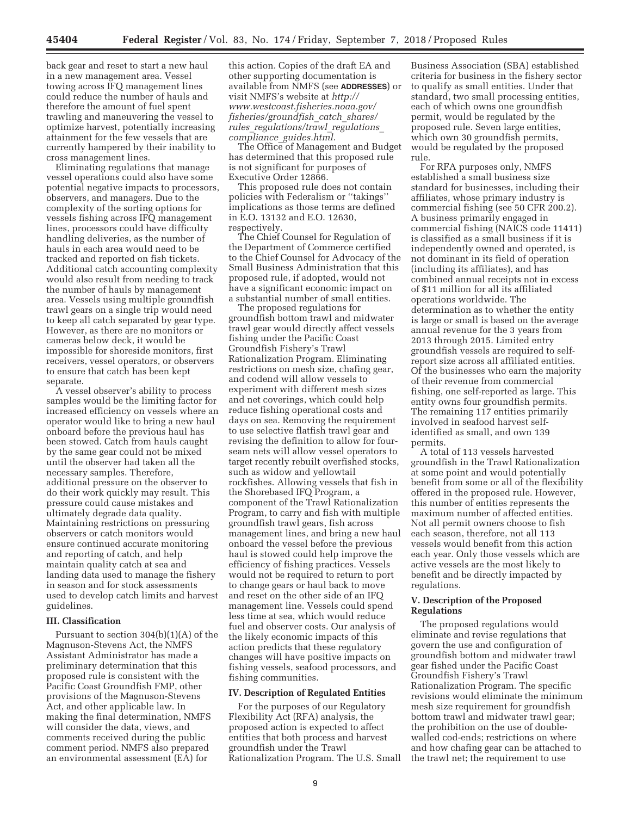back gear and reset to start a new haul in a new management area. Vessel towing across IFQ management lines could reduce the number of hauls and therefore the amount of fuel spent trawling and maneuvering the vessel to optimize harvest, potentially increasing attainment for the few vessels that are currently hampered by their inability to cross management lines.

Eliminating regulations that manage vessel operations could also have some potential negative impacts to processors, observers, and managers. Due to the complexity of the sorting options for vessels fishing across IFQ management lines, processors could have difficulty handling deliveries, as the number of hauls in each area would need to be tracked and reported on fish tickets. Additional catch accounting complexity would also result from needing to track the number of hauls by management area. Vessels using multiple groundfish trawl gears on a single trip would need to keep all catch separated by gear type. However, as there are no monitors or cameras below deck, it would be impossible for shoreside monitors, first receivers, vessel operators, or observers to ensure that catch has been kept separate.

A vessel observer's ability to process samples would be the limiting factor for increased efficiency on vessels where an operator would like to bring a new haul onboard before the previous haul has been stowed. Catch from hauls caught by the same gear could not be mixed until the observer had taken all the necessary samples. Therefore, additional pressure on the observer to do their work quickly may result. This pressure could cause mistakes and ultimately degrade data quality. Maintaining restrictions on pressuring observers or catch monitors would ensure continued accurate monitoring and reporting of catch, and help maintain quality catch at sea and landing data used to manage the fishery in season and for stock assessments used to develop catch limits and harvest guidelines.

# **III. Classification**

Pursuant to section 304(b)(1)(A) of the Magnuson-Stevens Act, the NMFS Assistant Administrator has made a preliminary determination that this proposed rule is consistent with the Pacific Coast Groundfish FMP, other provisions of the Magnuson-Stevens Act, and other applicable law. In making the final determination, NMFS will consider the data, views, and comments received during the public comment period. NMFS also prepared an environmental assessment (EA) for

this action. Copies of the draft EA and other supporting documentation is available from NMFS (see **ADDRESSES**) or visit NMFS's website at *http:// www.westcoast.fisheries.noaa.gov/ fisheries/groundfish*\_*catch*\_*shares/ rules*\_*regulations/trawl*\_*regulations*\_ *compliance*\_*guides.html.* 

The Office of Management and Budget has determined that this proposed rule is not significant for purposes of Executive Order 12866.

This proposed rule does not contain policies with Federalism or ''takings'' implications as those terms are defined in E.O. 13132 and E.O. 12630, respectively.

The Chief Counsel for Regulation of the Department of Commerce certified to the Chief Counsel for Advocacy of the Small Business Administration that this proposed rule, if adopted, would not have a significant economic impact on a substantial number of small entities.

The proposed regulations for groundfish bottom trawl and midwater trawl gear would directly affect vessels fishing under the Pacific Coast Groundfish Fishery's Trawl Rationalization Program. Eliminating restrictions on mesh size, chafing gear, and codend will allow vessels to experiment with different mesh sizes and net coverings, which could help reduce fishing operational costs and days on sea. Removing the requirement to use selective flatfish trawl gear and revising the definition to allow for fourseam nets will allow vessel operators to target recently rebuilt overfished stocks, such as widow and yellowtail rockfishes. Allowing vessels that fish in the Shorebased IFQ Program, a component of the Trawl Rationalization Program, to carry and fish with multiple groundfish trawl gears, fish across management lines, and bring a new haul onboard the vessel before the previous haul is stowed could help improve the efficiency of fishing practices. Vessels would not be required to return to port to change gears or haul back to move and reset on the other side of an IFQ management line. Vessels could spend less time at sea, which would reduce fuel and observer costs. Our analysis of the likely economic impacts of this action predicts that these regulatory changes will have positive impacts on fishing vessels, seafood processors, and fishing communities.

#### **IV. Description of Regulated Entities**

For the purposes of our Regulatory Flexibility Act (RFA) analysis, the proposed action is expected to affect entities that both process and harvest groundfish under the Trawl Rationalization Program. The U.S. Small

Business Association (SBA) established criteria for business in the fishery sector to qualify as small entities. Under that standard, two small processing entities, each of which owns one groundfish permit, would be regulated by the proposed rule. Seven large entities, which own 30 groundfish permits, would be regulated by the proposed rule.

For RFA purposes only, NMFS established a small business size standard for businesses, including their affiliates, whose primary industry is commercial fishing (see 50 CFR 200.2). A business primarily engaged in commercial fishing (NAICS code 11411) is classified as a small business if it is independently owned and operated, is not dominant in its field of operation (including its affiliates), and has combined annual receipts not in excess of \$11 million for all its affiliated operations worldwide. The determination as to whether the entity is large or small is based on the average annual revenue for the 3 years from 2013 through 2015. Limited entry groundfish vessels are required to selfreport size across all affiliated entities. Of the businesses who earn the majority of their revenue from commercial fishing, one self-reported as large. This entity owns four groundfish permits. The remaining 117 entities primarily involved in seafood harvest selfidentified as small, and own 139 permits.

A total of 113 vessels harvested groundfish in the Trawl Rationalization at some point and would potentially benefit from some or all of the flexibility offered in the proposed rule. However, this number of entities represents the maximum number of affected entities. Not all permit owners choose to fish each season, therefore, not all 113 vessels would benefit from this action each year. Only those vessels which are active vessels are the most likely to benefit and be directly impacted by regulations.

#### **V. Description of the Proposed Regulations**

The proposed regulations would eliminate and revise regulations that govern the use and configuration of groundfish bottom and midwater trawl gear fished under the Pacific Coast Groundfish Fishery's Trawl Rationalization Program. The specific revisions would eliminate the minimum mesh size requirement for groundfish bottom trawl and midwater trawl gear; the prohibition on the use of doublewalled cod-ends; restrictions on where and how chafing gear can be attached to the trawl net; the requirement to use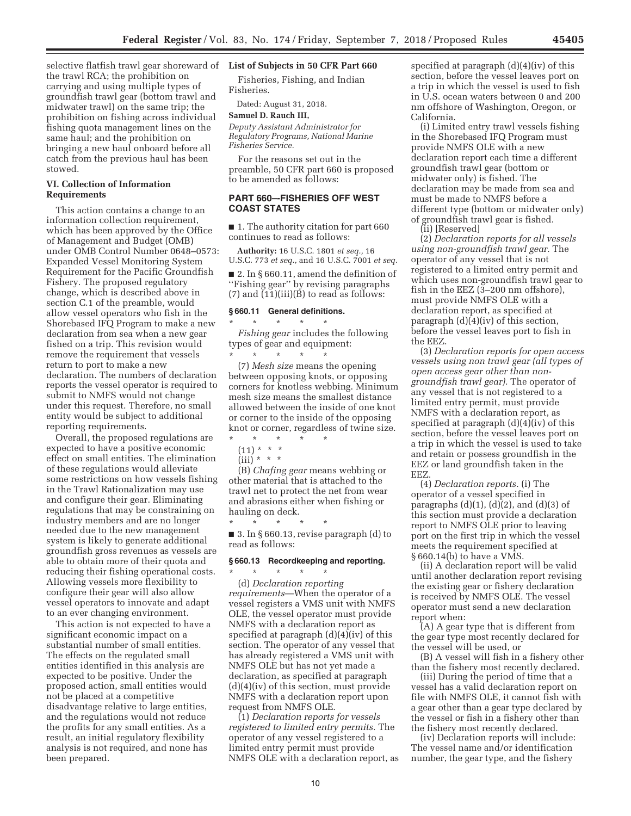selective flatfish trawl gear shoreward of **List of Subjects in 50 CFR Part 660**  the trawl RCA; the prohibition on carrying and using multiple types of groundfish trawl gear (bottom trawl and midwater trawl) on the same trip; the prohibition on fishing across individual fishing quota management lines on the same haul; and the prohibition on bringing a new haul onboard before all catch from the previous haul has been stowed.

# **VI. Collection of Information Requirements**

This action contains a change to an information collection requirement, which has been approved by the Office of Management and Budget (OMB) under OMB Control Number 0648–0573: Expanded Vessel Monitoring System Requirement for the Pacific Groundfish Fishery. The proposed regulatory change, which is described above in section C.1 of the preamble, would allow vessel operators who fish in the Shorebased IFQ Program to make a new declaration from sea when a new gear fished on a trip. This revision would remove the requirement that vessels return to port to make a new declaration. The numbers of declaration reports the vessel operator is required to submit to NMFS would not change under this request. Therefore, no small entity would be subject to additional reporting requirements.

Overall, the proposed regulations are expected to have a positive economic effect on small entities. The elimination of these regulations would alleviate some restrictions on how vessels fishing in the Trawl Rationalization may use and configure their gear. Eliminating regulations that may be constraining on industry members and are no longer needed due to the new management system is likely to generate additional groundfish gross revenues as vessels are able to obtain more of their quota and reducing their fishing operational costs. Allowing vessels more flexibility to configure their gear will also allow vessel operators to innovate and adapt to an ever changing environment.

This action is not expected to have a significant economic impact on a substantial number of small entities. The effects on the regulated small entities identified in this analysis are expected to be positive. Under the proposed action, small entities would not be placed at a competitive disadvantage relative to large entities, and the regulations would not reduce the profits for any small entities. As a result, an initial regulatory flexibility analysis is not required, and none has been prepared.

Fisheries, Fishing, and Indian Fisheries.

Dated: August 31, 2018.

#### **Samuel D. Rauch III,**

*Deputy Assistant Administrator for Regulatory Programs, National Marine Fisheries Service.* 

For the reasons set out in the preamble, 50 CFR part 660 is proposed to be amended as follows:

# **PART 660–-FISHERIES OFF WEST COAST STATES**

■ 1. The authority citation for part 660 continues to read as follows:

**Authority:** 16 U.S.C. 1801 *et seq.,* 16 U.S.C. 773 *et seq.,* and 16 U.S.C. 7001 *et seq.* 

■ 2. In § 660.11, amend the definition of ''Fishing gear'' by revising paragraphs  $(7)$  and  $(11)(iii)(B)$  to read as follows:

#### **§ 660.11 General definitions.**  \* \* \* \* \*

*Fishing gear* includes the following types of gear and equipment: \* \* \* \* \*

(7) *Mesh size* means the opening between opposing knots, or opposing corners for knotless webbing. Minimum mesh size means the smallest distance allowed between the inside of one knot or corner to the inside of the opposing knot or corner, regardless of twine size.

- $(11) * * * *$
- (iii) \* \* \*

(B) *Chafing gear* means webbing or other material that is attached to the trawl net to protect the net from wear and abrasions either when fishing or hauling on deck.

\* \* \* \* \* ■ 3. In § 660.13, revise paragraph (d) to read as follows:

# **§ 660.13 Recordkeeping and reporting.**

\* \* \* \* \*

(d) *Declaration reporting requirements*—When the operator of a vessel registers a VMS unit with NMFS OLE, the vessel operator must provide NMFS with a declaration report as specified at paragraph (d)(4)(iv) of this section. The operator of any vessel that has already registered a VMS unit with NMFS OLE but has not yet made a declaration, as specified at paragraph (d)(4)(iv) of this section, must provide NMFS with a declaration report upon request from NMFS OLE.

(1) *Declaration reports for vessels registered to limited entry permits.* The operator of any vessel registered to a limited entry permit must provide NMFS OLE with a declaration report, as specified at paragraph (d)(4)(iv) of this section, before the vessel leaves port on a trip in which the vessel is used to fish in U.S. ocean waters between 0 and 200 nm offshore of Washington, Oregon, or California.

(i) Limited entry trawl vessels fishing in the Shorebased IFQ Program must provide NMFS OLE with a new declaration report each time a different groundfish trawl gear (bottom or midwater only) is fished. The declaration may be made from sea and must be made to NMFS before a different type (bottom or midwater only) of groundfish trawl gear is fished.

(ii) [Reserved]

(2) *Declaration reports for all vessels using non-groundfish trawl gear.* The operator of any vessel that is not registered to a limited entry permit and which uses non-groundfish trawl gear to fish in the EEZ (3–200 nm offshore), must provide NMFS OLE with a declaration report, as specified at paragraph (d)(4)(iv) of this section, before the vessel leaves port to fish in the EEZ.

(3) *Declaration reports for open access vessels using non trawl gear (all types of open access gear other than nongroundfish trawl gear).* The operator of any vessel that is not registered to a limited entry permit, must provide NMFS with a declaration report, as specified at paragraph (d)(4)(iv) of this section, before the vessel leaves port on a trip in which the vessel is used to take and retain or possess groundfish in the EEZ or land groundfish taken in the EEZ.

(4) *Declaration reports.* (i) The operator of a vessel specified in paragraphs  $(d)(1)$ ,  $(d)(2)$ , and  $(d)(3)$  of this section must provide a declaration report to NMFS OLE prior to leaving port on the first trip in which the vessel meets the requirement specified at § 660.14(b) to have a VMS.

(ii) A declaration report will be valid until another declaration report revising the existing gear or fishery declaration is received by NMFS OLE. The vessel operator must send a new declaration report when:

(A) A gear type that is different from the gear type most recently declared for the vessel will be used, or

(B) A vessel will fish in a fishery other than the fishery most recently declared.

(iii) During the period of time that a vessel has a valid declaration report on file with NMFS OLE, it cannot fish with a gear other than a gear type declared by the vessel or fish in a fishery other than the fishery most recently declared.

(iv) Declaration reports will include: The vessel name and/or identification number, the gear type, and the fishery

<sup>\* \* \* \* \*</sup>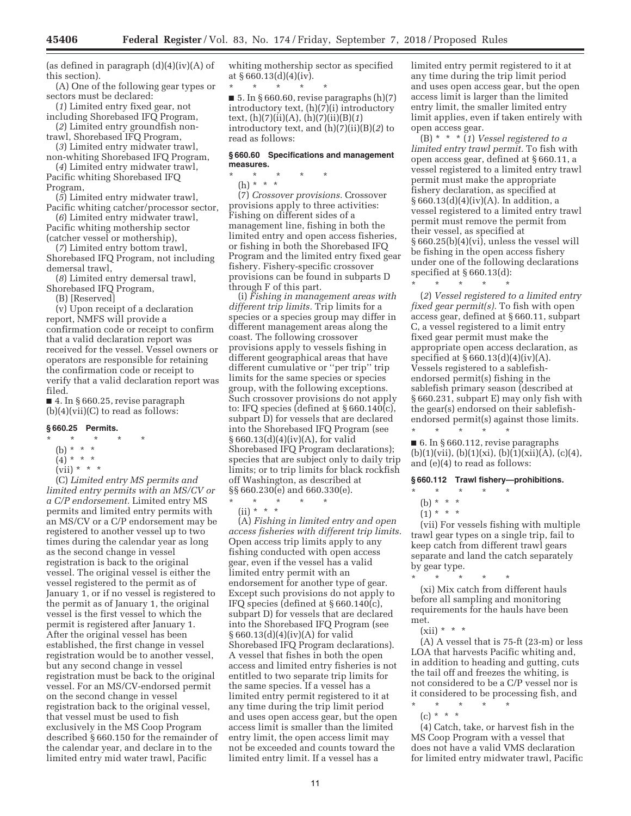(as defined in paragraph  $(d)(4)(iv)(A)$  of this section).

(A) One of the following gear types or sectors must be declared:

(*1*) Limited entry fixed gear, not including Shorebased IFQ Program,

(*2*) Limited entry groundfish nontrawl, Shorebased IFQ Program,

(*3*) Limited entry midwater trawl,

non-whiting Shorebased IFQ Program, (*4*) Limited entry midwater trawl,

Pacific whiting Shorebased IFQ Program,

(*5*) Limited entry midwater trawl,

Pacific whiting catcher/processor sector, (*6*) Limited entry midwater trawl,

Pacific whiting mothership sector (catcher vessel or mothership), (*7*) Limited entry bottom trawl,

Shorebased IFQ Program, not including demersal trawl,

(*8*) Limited entry demersal trawl, Shorebased IFQ Program,

(B) [Reserved]

(v) Upon receipt of a declaration report, NMFS will provide a confirmation code or receipt to confirm that a valid declaration report was received for the vessel. Vessel owners or operators are responsible for retaining the confirmation code or receipt to verify that a valid declaration report was filed.

■ 4. In § 660.25, revise paragraph  $(b)(4)(vii)(C)$  to read as follows:

# **§ 660.25 Permits.**

- $\star$   $\star$
- (b) \* \* \*
- $(4) * * * *$  $(vii) * * * *$ 
	-

(C) *Limited entry MS permits and limited entry permits with an MS/CV or a C/P endorsement.* Limited entry MS permits and limited entry permits with an MS/CV or a C/P endorsement may be registered to another vessel up to two times during the calendar year as long as the second change in vessel registration is back to the original vessel. The original vessel is either the vessel registered to the permit as of January 1, or if no vessel is registered to the permit as of January 1, the original vessel is the first vessel to which the permit is registered after January 1. After the original vessel has been established, the first change in vessel registration would be to another vessel, but any second change in vessel registration must be back to the original vessel. For an MS/CV-endorsed permit on the second change in vessel registration back to the original vessel, that vessel must be used to fish exclusively in the MS Coop Program described § 660.150 for the remainder of the calendar year, and declare in to the limited entry mid water trawl, Pacific

whiting mothership sector as specified at  $§ 660.13(d)(4)(iv).$ 

\* \* \* \* \* ■ 5. In § 660.60, revise paragraphs  $(h)(7)$ introductory text, (h)(7)(i) introductory text, (h)(7)(ii)(A), (h)(7)(ii)(B)(*1*) introductory text, and (h)(7)(ii)(B)(*2*) to read as follows:

#### **§ 660.60 Specifications and management measures.**

\* \* \* \* \* (h) \* \* \*

(7) *Crossover provisions.* Crossover provisions apply to three activities: Fishing on different sides of a management line, fishing in both the limited entry and open access fisheries, or fishing in both the Shorebased IFQ Program and the limited entry fixed gear fishery. Fishery-specific crossover provisions can be found in subparts D through F of this part.

(i) *Fishing in management areas with different trip limits.* Trip limits for a species or a species group may differ in different management areas along the coast. The following crossover provisions apply to vessels fishing in different geographical areas that have different cumulative or ''per trip'' trip limits for the same species or species group, with the following exceptions. Such crossover provisions do not apply to: IFQ species (defined at § 660.140(c), subpart D) for vessels that are declared into the Shorebased IFQ Program (see § 660.13(d)(4)(iv)(A), for valid Shorebased IFQ Program declarations); species that are subject only to daily trip limits; or to trip limits for black rockfish off Washington, as described at §§ 660.230(e) and 660.330(e).

\* \* \* \* \*  $(ii) * * * *$ 

(A) *Fishing in limited entry and open access fisheries with different trip limits.*  Open access trip limits apply to any fishing conducted with open access gear, even if the vessel has a valid limited entry permit with an endorsement for another type of gear. Except such provisions do not apply to IFQ species (defined at § 660.140(c), subpart D) for vessels that are declared into the Shorebased IFQ Program (see § 660.13(d)(4)(iv)(A) for valid Shorebased IFQ Program declarations). A vessel that fishes in both the open access and limited entry fisheries is not entitled to two separate trip limits for the same species. If a vessel has a limited entry permit registered to it at any time during the trip limit period and uses open access gear, but the open access limit is smaller than the limited entry limit, the open access limit may not be exceeded and counts toward the limited entry limit. If a vessel has a

limited entry permit registered to it at any time during the trip limit period and uses open access gear, but the open access limit is larger than the limited entry limit, the smaller limited entry limit applies, even if taken entirely with open access gear.

(B) \* \* \* (*1*) *Vessel registered to a limited entry trawl permit.* To fish with open access gear, defined at § 660.11, a vessel registered to a limited entry trawl permit must make the appropriate fishery declaration, as specified at § 660.13(d)(4)(iv)(A). In addition, a vessel registered to a limited entry trawl permit must remove the permit from their vessel, as specified at § 660.25(b)(4)(vi), unless the vessel will be fishing in the open access fishery under one of the following declarations specified at § 660.13(d):  $\star$   $\qquad$   $\star$   $\qquad$   $\star$ 

(*2*) *Vessel registered to a limited entry fixed gear permit(s).* To fish with open access gear, defined at § 660.11, subpart C, a vessel registered to a limit entry fixed gear permit must make the appropriate open access declaration, as specified at  $\S 660.13(d)(4)(iv)(A)$ . Vessels registered to a sablefishendorsed permit(s) fishing in the sablefish primary season (described at § 660.231, subpart E) may only fish with the gear(s) endorsed on their sablefishendorsed permit(s) against those limits. \* \* \* \* \*

■ 6. In § 660.112, revise paragraphs  $(b)(1)(vii), (b)(1)(xi), (b)(1)(xii)(A), (c)(4),$ and (e)(4) to read as follows:

# **§ 660.112 Trawl fishery—prohibitions.**

\* \* \* \* \*

(b) \* \* \*

 $(1) * * * *$ 

(vii) For vessels fishing with multiple trawl gear types on a single trip, fail to keep catch from different trawl gears separate and land the catch separately by gear type.

\* \* \* \* \*

(xi) Mix catch from different hauls before all sampling and monitoring requirements for the hauls have been met.

 $(xii) * * * *$ 

(A) A vessel that is 75-ft (23-m) or less LOA that harvests Pacific whiting and, in addition to heading and gutting, cuts the tail off and freezes the whiting, is not considered to be a C/P vessel nor is it considered to be processing fish, and

\* \* \* \* \*

(c) \* \* \*

(4) Catch, take, or harvest fish in the MS Coop Program with a vessel that does not have a valid VMS declaration for limited entry midwater trawl, Pacific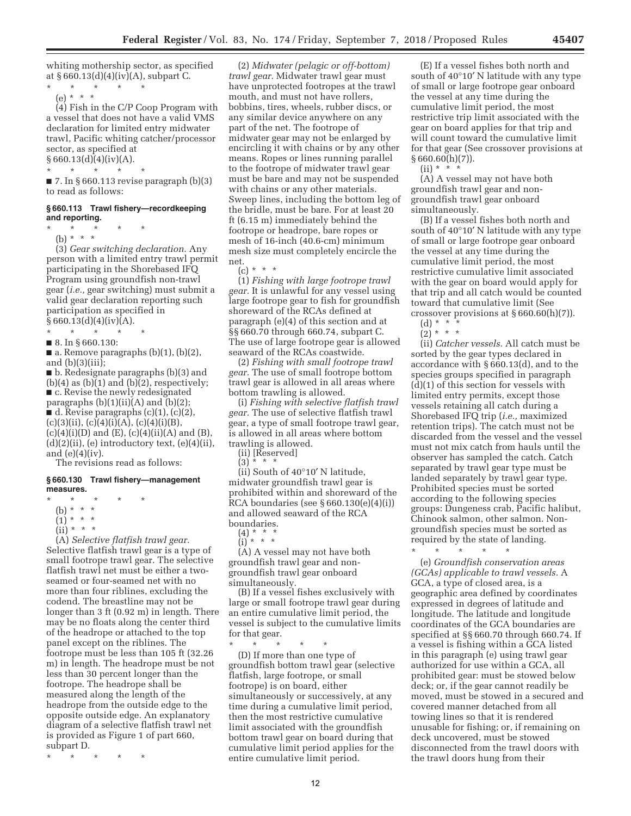whiting mothership sector, as specified at  $§ 660.13(d)(4)(iv)(A)$ , subpart C.

\* \* \* \* \* (e) \* \* \*

(4) Fish in the C/P Coop Program with a vessel that does not have a valid VMS declaration for limited entry midwater trawl, Pacific whiting catcher/processor sector, as specified at

 $\frac{\$660.13(d)(4)(iv)(A).}{*}$  $\star$   $\star$ 

 $\blacksquare$  7. In § 660.113 revise paragraph (b)(3) to read as follows:

#### **§ 660.113 Trawl fishery—recordkeeping and reporting.**

\* \* \* \* \*

(b) \* \* \*

(3) *Gear switching declaration.* Any person with a limited entry trawl permit participating in the Shorebased IFQ Program using groundfish non-trawl gear (*i.e.,* gear switching) must submit a valid gear declaration reporting such participation as specified in  $§ 660.13(d)(4)(iv)(A).$ 

\* \* \* \* \*

■ 8. In § 660.130:

 $\blacksquare$  a. Remove paragraphs (b)(1), (b)(2), and  $(b)(3)(iii)$ ;

■ b. Redesignate paragraphs (b)(3) and  $(b)(4)$  as  $(b)(1)$  and  $(b)(2)$ , respectively; ■ c. Revise the newly redesignated paragraphs  $(b)(1)(ii)(A)$  and  $(b)(2)$ ;  $\blacksquare$  d. Revise paragraphs (c)(1), (c)(2),  $(c)(3)(ii)$ ,  $(c)(4)(i)(A)$ ,  $(c)(4)(i)(B)$ ,  $(c)(4)(i)(D)$  and  $(E)$ ,  $(c)(4)(ii)(A)$  and  $(B)$ ,  $(d)(2)(ii)$ ,  $(e)$  introductory text,  $(e)(4)(ii)$ , and  $(e)(4)(iv)$ .

The revisions read as follows:

#### **§ 660.130 Trawl fishery—management measures.**

- \* \* \* \* \*
	- (b) \* \* \*
	- $(1) * * * *$
	- (ii) \* \* \*

(A) *Selective flatfish trawl gear.*  Selective flatfish trawl gear is a type of small footrope trawl gear. The selective flatfish trawl net must be either a twoseamed or four-seamed net with no more than four riblines, excluding the codend. The breastline may not be longer than 3 ft (0.92 m) in length. There may be no floats along the center third of the headrope or attached to the top panel except on the riblines. The footrope must be less than 105 ft (32.26 m) in length. The headrope must be not less than 30 percent longer than the footrope. The headrope shall be measured along the length of the headrope from the outside edge to the opposite outside edge. An explanatory diagram of a selective flatfish trawl net is provided as Figure 1 of part 660, subpart D.

\* \* \* \* \*

(2) *Midwater (pelagic or off-bottom) trawl gear.* Midwater trawl gear must have unprotected footropes at the trawl mouth, and must not have rollers, bobbins, tires, wheels, rubber discs, or any similar device anywhere on any part of the net. The footrope of midwater gear may not be enlarged by encircling it with chains or by any other means. Ropes or lines running parallel to the footrope of midwater trawl gear must be bare and may not be suspended with chains or any other materials. Sweep lines, including the bottom leg of the bridle, must be bare. For at least 20 ft (6.15 m) immediately behind the footrope or headrope, bare ropes or mesh of 16-inch (40.6-cm) minimum mesh size must completely encircle the net.

 $(c) * * * *$ 

(1) *Fishing with large footrope trawl gear.* It is unlawful for any vessel using large footrope gear to fish for groundfish shoreward of the RCAs defined at paragraph (e)(4) of this section and at §§ 660.70 through 660.74, subpart C. The use of large footrope gear is allowed seaward of the RCAs coastwide.

(2) *Fishing with small footrope trawl gear.* The use of small footrope bottom trawl gear is allowed in all areas where bottom trawling is allowed.

(i) *Fishing with selective flatfish trawl gear.* The use of selective flatfish trawl gear, a type of small footrope trawl gear, is allowed in all areas where bottom trawling is allowed.

(ii) [Reserved]

 $(3) * * * *$ 

(ii) South of 40°10′ N latitude, midwater groundfish trawl gear is prohibited within and shoreward of the RCA boundaries (see § 660.130(e)(4)(i)) and allowed seaward of the RCA boundaries.

(4) \* \* \*

(i) \* \* \*

(A) A vessel may not have both groundfish trawl gear and nongroundfish trawl gear onboard simultaneously.

(B) If a vessel fishes exclusively with large or small footrope trawl gear during an entire cumulative limit period, the vessel is subject to the cumulative limits for that gear.

\* \* \* \* \* (D) If more than one type of groundfish bottom trawl gear (selective flatfish, large footrope, or small footrope) is on board, either simultaneously or successively, at any time during a cumulative limit period, then the most restrictive cumulative limit associated with the groundfish bottom trawl gear on board during that cumulative limit period applies for the entire cumulative limit period.

(E) If a vessel fishes both north and south of 40°10′ N latitude with any type of small or large footrope gear onboard the vessel at any time during the cumulative limit period, the most restrictive trip limit associated with the gear on board applies for that trip and will count toward the cumulative limit for that gear (See crossover provisions at  $§ 660.60(h)(7)$ ).

 $(ii) * *$ 

(A) A vessel may not have both groundfish trawl gear and nongroundfish trawl gear onboard simultaneously.

(B) If a vessel fishes both north and south of 40°10′ N latitude with any type of small or large footrope gear onboard the vessel at any time during the cumulative limit period, the most restrictive cumulative limit associated with the gear on board would apply for that trip and all catch would be counted toward that cumulative limit (See crossover provisions at § 660.60(h)(7)).

 $(d) * * * *$ 

 $(2) * * * *$ 

(ii) *Catcher vessels.* All catch must be sorted by the gear types declared in accordance with § 660.13(d), and to the species groups specified in paragraph (d)(1) of this section for vessels with limited entry permits, except those vessels retaining all catch during a Shorebased IFQ trip (*i.e.,* maximized retention trips). The catch must not be discarded from the vessel and the vessel must not mix catch from hauls until the observer has sampled the catch. Catch separated by trawl gear type must be landed separately by trawl gear type. Prohibited species must be sorted according to the following species groups: Dungeness crab, Pacific halibut, Chinook salmon, other salmon. Nongroundfish species must be sorted as required by the state of landing.

\* \* \* \* \*

(e) *Groundfish conservation areas (GCAs) applicable to trawl vessels.* A GCA, a type of closed area, is a geographic area defined by coordinates expressed in degrees of latitude and longitude. The latitude and longitude coordinates of the GCA boundaries are specified at §§ 660.70 through 660.74. If a vessel is fishing within a GCA listed in this paragraph (e) using trawl gear authorized for use within a GCA, all prohibited gear: must be stowed below deck; or, if the gear cannot readily be moved, must be stowed in a secured and covered manner detached from all towing lines so that it is rendered unusable for fishing; or, if remaining on deck uncovered, must be stowed disconnected from the trawl doors with the trawl doors hung from their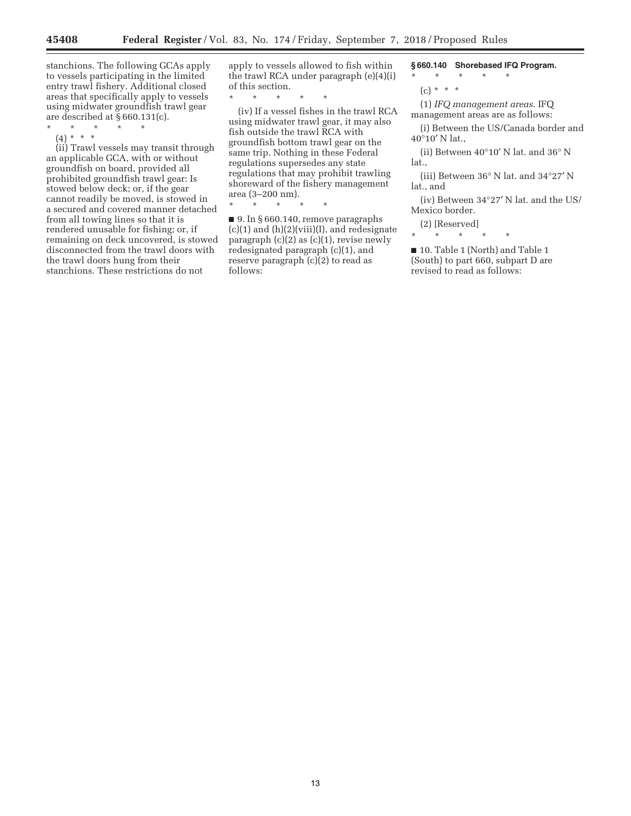stanchions. The following GCAs apply to vessels participating in the limited entry trawl fishery. Additional closed areas that specifically apply to vessels using midwater groundfish trawl gear are described at § 660.131(c).

- \* \* \* \* \*
	- (4) \* \* \*

(ii) Trawl vessels may transit through an applicable GCA, with or without groundfish on board, provided all prohibited groundfish trawl gear: Is stowed below deck; or, if the gear cannot readily be moved, is stowed in a secured and covered manner detached from all towing lines so that it is rendered unusable for fishing; or, if remaining on deck uncovered, is stowed disconnected from the trawl doors with the trawl doors hung from their stanchions. These restrictions do not

apply to vessels allowed to fish within the trawl RCA under paragraph (e)(4)(i) of this section.

\* \* \* \* \*

(iv) If a vessel fishes in the trawl RCA using midwater trawl gear, it may also fish outside the trawl RCA with groundfish bottom trawl gear on the same trip. Nothing in these Federal regulations supersedes any state regulations that may prohibit trawling shoreward of the fishery management area (3–200 nm).

 $\star$ 

■ 9. In § 660.140, remove paragraphs (c)(1) and (h)(2)(viii)(I), and redesignate paragraph  $(c)(2)$  as  $(c)(1)$ , revise newly redesignated paragraph (c)(1), and reserve paragraph (c)(2) to read as follows:

**§ 660.140 Shorebased IFQ Program.** 

\* \* \* \* \*

(c) \* \* \*

(1) *IFQ management areas.* IFQ management areas are as follows:

(i) Between the US/Canada border and 40°10′ N lat.,

(ii) Between 40°10′ N lat. and 36° N lat.,

(iii) Between 36° N lat. and 34°27′ N lat., and

(iv) Between 34°27′ N lat. and the US/ Mexico border.

(2) [Reserved]

\* \* \* \* \*

■ 10. Table 1 (North) and Table 1 (South) to part 660, subpart D are revised to read as follows: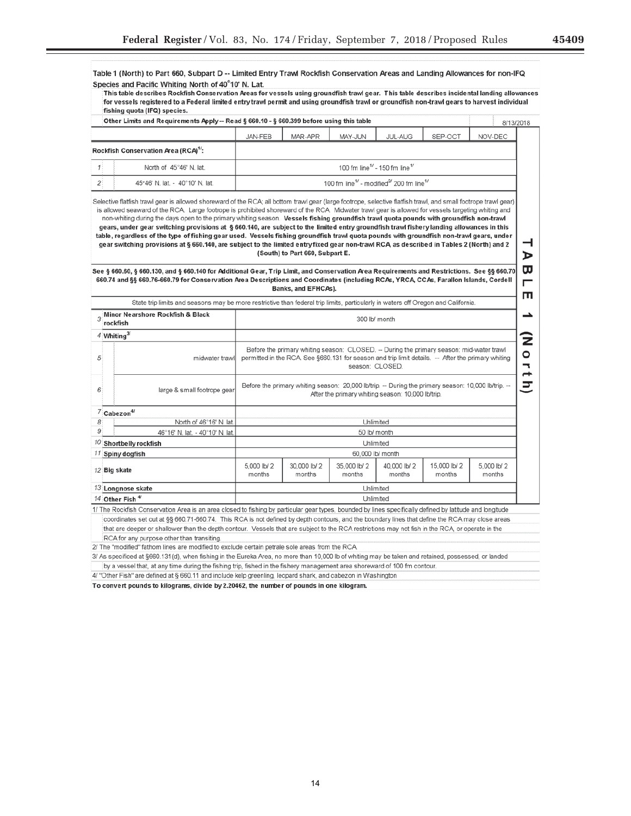Ξ

| Other Limits and Requirements Apply -- Read § 660.10 - § 660.399 before using this table                                                                                                                                                                                                                                                                                                                                                                                                                                                                                                                                                                                                                                    |                       |                                                                                                                                                                                                                   |                        |                                                                                                                                                  |                       | 8/13/2018             |  |  |  |
|-----------------------------------------------------------------------------------------------------------------------------------------------------------------------------------------------------------------------------------------------------------------------------------------------------------------------------------------------------------------------------------------------------------------------------------------------------------------------------------------------------------------------------------------------------------------------------------------------------------------------------------------------------------------------------------------------------------------------------|-----------------------|-------------------------------------------------------------------------------------------------------------------------------------------------------------------------------------------------------------------|------------------------|--------------------------------------------------------------------------------------------------------------------------------------------------|-----------------------|-----------------------|--|--|--|
|                                                                                                                                                                                                                                                                                                                                                                                                                                                                                                                                                                                                                                                                                                                             | JAN-FEB               | MAR-APR                                                                                                                                                                                                           | MAY-JUN                | <b>JUL-AUG</b>                                                                                                                                   | SEP-OCT               | NOV-DEC               |  |  |  |
|                                                                                                                                                                                                                                                                                                                                                                                                                                                                                                                                                                                                                                                                                                                             |                       |                                                                                                                                                                                                                   |                        |                                                                                                                                                  |                       |                       |  |  |  |
| Rockfish Conservation Area (RCA) <sup>1/</sup> :                                                                                                                                                                                                                                                                                                                                                                                                                                                                                                                                                                                                                                                                            |                       |                                                                                                                                                                                                                   |                        |                                                                                                                                                  |                       |                       |  |  |  |
| North of 45°46' N. lat.                                                                                                                                                                                                                                                                                                                                                                                                                                                                                                                                                                                                                                                                                                     |                       |                                                                                                                                                                                                                   |                        | 100 fm line <sup>1</sup> - 150 fm line <sup>1/</sup>                                                                                             |                       |                       |  |  |  |
| 45°46' N. lat. - 40°10' N. lat.                                                                                                                                                                                                                                                                                                                                                                                                                                                                                                                                                                                                                                                                                             |                       | 100 fm line <sup>1/</sup> - modified <sup>2/</sup> 200 fm line <sup>1/</sup>                                                                                                                                      |                        |                                                                                                                                                  |                       |                       |  |  |  |
| non-whiting during the days open to the primary whiting season. Vessels fishing groundfish trawl quota pounds with groundfish non-trawl<br>gears, under gear switching provisions at § 660.140, are subject to the limited entry groundfish trawl fishery landing allowances in this<br>table, regardless of the type of fishing gear used. Vessels fishing groundfish trawl quota pounds with groundfish non-trawl gears, under<br>gear switching provisions at § 660.140, are subject to the limited entry fixed gear non-trawl RCA, as described in Tables 2 (North) and 2<br>See § 660.60, § 660.130, and § 660.140 for Additional Gear, Trip Limit, and Conservation Area Requirements and Restrictions. See §§ 660.70 |                       | (South) to Part 660, Subpart E.                                                                                                                                                                                   |                        |                                                                                                                                                  |                       |                       |  |  |  |
| 660.74 and §§ 660.76-660.79 for Conservation Area Descriptions and Coordinates (including RCAs, YRCA, CCAs, Farallon Islands, Cordell<br>State trip limits and seasons may be more restrictive than federal trip limits, particularly in waters off Oregon and California.                                                                                                                                                                                                                                                                                                                                                                                                                                                  |                       | Banks, and EFHCAs).                                                                                                                                                                                               |                        |                                                                                                                                                  |                       |                       |  |  |  |
| Minor Nearshore Rockfish & Black                                                                                                                                                                                                                                                                                                                                                                                                                                                                                                                                                                                                                                                                                            |                       |                                                                                                                                                                                                                   |                        |                                                                                                                                                  |                       |                       |  |  |  |
| 3<br>300 lb/ month<br>rockfish                                                                                                                                                                                                                                                                                                                                                                                                                                                                                                                                                                                                                                                                                              |                       |                                                                                                                                                                                                                   |                        |                                                                                                                                                  |                       |                       |  |  |  |
| 4 Whiting $3/$                                                                                                                                                                                                                                                                                                                                                                                                                                                                                                                                                                                                                                                                                                              |                       |                                                                                                                                                                                                                   |                        |                                                                                                                                                  |                       |                       |  |  |  |
| midwater trawl                                                                                                                                                                                                                                                                                                                                                                                                                                                                                                                                                                                                                                                                                                              |                       | Before the primary whiting season: CLOSED. -- During the primary season: mid-water trawl<br>permitted in the RCA. See §660.131 for season and trip limit details. -- After the primary whiting<br>season: CLOSED. |                        |                                                                                                                                                  |                       |                       |  |  |  |
| large & small footrope gear                                                                                                                                                                                                                                                                                                                                                                                                                                                                                                                                                                                                                                                                                                 |                       | $\mathbf{1}$<br>- Before the primary whiting season: 20,000 lb/trip. -- During the primary season: 10,000 lb/trip.<br>After the primary whiting season: 10,000 lb/trip.                                           |                        |                                                                                                                                                  |                       |                       |  |  |  |
| $7$ Cabezon <sup>4/</sup>                                                                                                                                                                                                                                                                                                                                                                                                                                                                                                                                                                                                                                                                                                   |                       |                                                                                                                                                                                                                   |                        |                                                                                                                                                  |                       |                       |  |  |  |
| North of 46°16' N. lat.                                                                                                                                                                                                                                                                                                                                                                                                                                                                                                                                                                                                                                                                                                     |                       | Unlimited                                                                                                                                                                                                         |                        |                                                                                                                                                  |                       |                       |  |  |  |
| 9<br>46°16' N. lat. - 40°10' N. lat.<br>50 lb/ month                                                                                                                                                                                                                                                                                                                                                                                                                                                                                                                                                                                                                                                                        |                       |                                                                                                                                                                                                                   |                        |                                                                                                                                                  |                       |                       |  |  |  |
| $10$ Shortbelly rockfish<br>11 Spiny dogfish                                                                                                                                                                                                                                                                                                                                                                                                                                                                                                                                                                                                                                                                                |                       | Unlimited<br>60,000 lb/ month                                                                                                                                                                                     |                        |                                                                                                                                                  |                       |                       |  |  |  |
| 12 Big skate                                                                                                                                                                                                                                                                                                                                                                                                                                                                                                                                                                                                                                                                                                                | 5,000 lb/ 2<br>months | 30,000 lb/ 2<br>months                                                                                                                                                                                            | 35,000 lb/ 2<br>months | 40,000 lb/ 2<br>months                                                                                                                           | 15,000 lb/2<br>months | 5,000 lb/ 2<br>months |  |  |  |
| 13 Longnose skate                                                                                                                                                                                                                                                                                                                                                                                                                                                                                                                                                                                                                                                                                                           |                       |                                                                                                                                                                                                                   | Unlimited              |                                                                                                                                                  |                       |                       |  |  |  |
| 14 Other Fish 4                                                                                                                                                                                                                                                                                                                                                                                                                                                                                                                                                                                                                                                                                                             |                       |                                                                                                                                                                                                                   | Unlimited              |                                                                                                                                                  |                       |                       |  |  |  |
| 1/ The Rockfish Conservation Area is an area closed to fishing by particular gear types, bounded by lines specifically defined by latitude and longitude                                                                                                                                                                                                                                                                                                                                                                                                                                                                                                                                                                    |                       |                                                                                                                                                                                                                   |                        |                                                                                                                                                  |                       |                       |  |  |  |
| coordinates set out at §§ 660.71-660.74. This RCA is not defined by depth contours, and the boundary lines that define the RCA may close areas                                                                                                                                                                                                                                                                                                                                                                                                                                                                                                                                                                              |                       |                                                                                                                                                                                                                   |                        |                                                                                                                                                  |                       |                       |  |  |  |
|                                                                                                                                                                                                                                                                                                                                                                                                                                                                                                                                                                                                                                                                                                                             |                       |                                                                                                                                                                                                                   |                        | that are deeper or shallower than the depth contour. Vessels that are subject to the RCA restrictions may not fish in the RCA, or operate in the |                       |                       |  |  |  |

To convert pounds to kilograms, divide by 2.20462, the number of pounds in one kilogram.